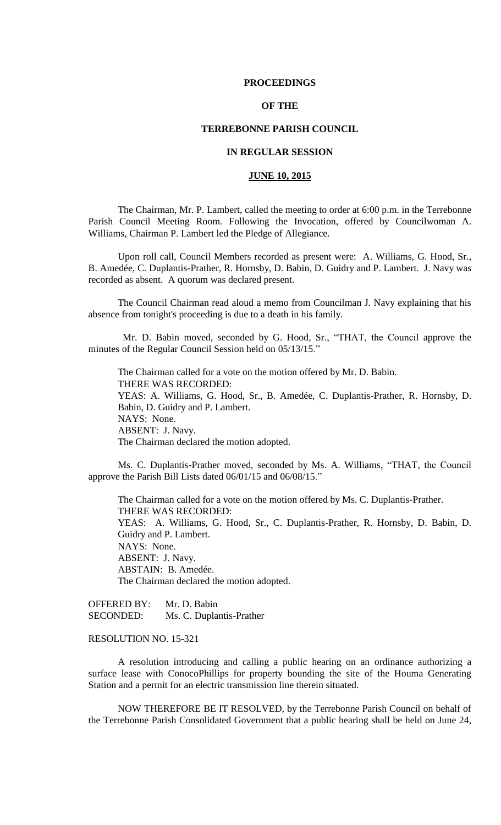## **PROCEEDINGS**

# **OF THE**

# **TERREBONNE PARISH COUNCIL**

# **IN REGULAR SESSION**

# **JUNE 10, 2015**

The Chairman, Mr. P. Lambert, called the meeting to order at 6:00 p.m. in the Terrebonne Parish Council Meeting Room. Following the Invocation, offered by Councilwoman A. Williams, Chairman P. Lambert led the Pledge of Allegiance.

Upon roll call, Council Members recorded as present were: A. Williams, G. Hood, Sr., B. Amedée, C. Duplantis-Prather, R. Hornsby, D. Babin, D. Guidry and P. Lambert. J. Navy was recorded as absent. A quorum was declared present.

The Council Chairman read aloud a memo from Councilman J. Navy explaining that his absence from tonight's proceeding is due to a death in his family.

 Mr. D. Babin moved, seconded by G. Hood, Sr., "THAT, the Council approve the minutes of the Regular Council Session held on 05/13/15."

The Chairman called for a vote on the motion offered by Mr. D. Babin. THERE WAS RECORDED: YEAS: A. Williams, G. Hood, Sr., B. Amedée, C. Duplantis-Prather, R. Hornsby, D. Babin, D. Guidry and P. Lambert. NAYS: None. ABSENT: J. Navy. The Chairman declared the motion adopted.

Ms. C. Duplantis-Prather moved, seconded by Ms. A. Williams, "THAT, the Council approve the Parish Bill Lists dated 06/01/15 and 06/08/15."

The Chairman called for a vote on the motion offered by Ms. C. Duplantis-Prather. THERE WAS RECORDED: YEAS: A. Williams, G. Hood, Sr., C. Duplantis-Prather, R. Hornsby, D. Babin, D. Guidry and P. Lambert. NAYS: None. ABSENT: J. Navy. ABSTAIN: B. Amedée. The Chairman declared the motion adopted.

OFFERED BY: Mr. D. Babin SECONDED: Ms. C. Duplantis-Prather

# RESOLUTION NO. 15-321

A resolution introducing and calling a public hearing on an ordinance authorizing a surface lease with ConocoPhillips for property bounding the site of the Houma Generating Station and a permit for an electric transmission line therein situated.

NOW THEREFORE BE IT RESOLVED, by the Terrebonne Parish Council on behalf of the Terrebonne Parish Consolidated Government that a public hearing shall be held on June 24,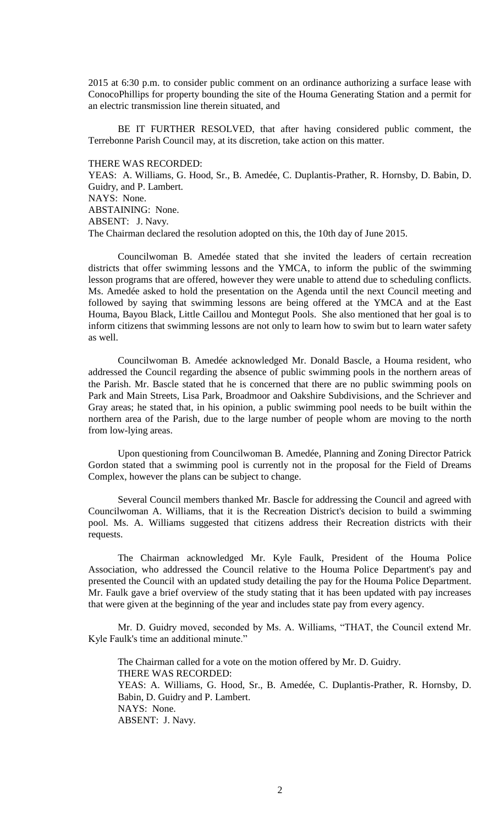2015 at 6:30 p.m. to consider public comment on an ordinance authorizing a surface lease with ConocoPhillips for property bounding the site of the Houma Generating Station and a permit for an electric transmission line therein situated, and

BE IT FURTHER RESOLVED, that after having considered public comment, the Terrebonne Parish Council may, at its discretion, take action on this matter.

THERE WAS RECORDED:

YEAS: A. Williams, G. Hood, Sr., B. Amedée, C. Duplantis-Prather, R. Hornsby, D. Babin, D. Guidry, and P. Lambert. NAYS: None. ABSTAINING: None. ABSENT: J. Navy. The Chairman declared the resolution adopted on this, the 10th day of June 2015.

Councilwoman B. Amedée stated that she invited the leaders of certain recreation districts that offer swimming lessons and the YMCA, to inform the public of the swimming lesson programs that are offered, however they were unable to attend due to scheduling conflicts. Ms. Amedée asked to hold the presentation on the Agenda until the next Council meeting and followed by saying that swimming lessons are being offered at the YMCA and at the East Houma, Bayou Black, Little Caillou and Montegut Pools. She also mentioned that her goal is to inform citizens that swimming lessons are not only to learn how to swim but to learn water safety as well.

Councilwoman B. Amedée acknowledged Mr. Donald Bascle, a Houma resident, who addressed the Council regarding the absence of public swimming pools in the northern areas of the Parish. Mr. Bascle stated that he is concerned that there are no public swimming pools on Park and Main Streets, Lisa Park, Broadmoor and Oakshire Subdivisions, and the Schriever and Gray areas; he stated that, in his opinion, a public swimming pool needs to be built within the northern area of the Parish, due to the large number of people whom are moving to the north from low-lying areas.

Upon questioning from Councilwoman B. Amedée, Planning and Zoning Director Patrick Gordon stated that a swimming pool is currently not in the proposal for the Field of Dreams Complex, however the plans can be subject to change.

Several Council members thanked Mr. Bascle for addressing the Council and agreed with Councilwoman A. Williams, that it is the Recreation District's decision to build a swimming pool. Ms. A. Williams suggested that citizens address their Recreation districts with their requests.

The Chairman acknowledged Mr. Kyle Faulk, President of the Houma Police Association, who addressed the Council relative to the Houma Police Department's pay and presented the Council with an updated study detailing the pay for the Houma Police Department. Mr. Faulk gave a brief overview of the study stating that it has been updated with pay increases that were given at the beginning of the year and includes state pay from every agency.

Mr. D. Guidry moved, seconded by Ms. A. Williams, "THAT, the Council extend Mr. Kyle Faulk's time an additional minute."

The Chairman called for a vote on the motion offered by Mr. D. Guidry. THERE WAS RECORDED: YEAS: A. Williams, G. Hood, Sr., B. Amedée, C. Duplantis-Prather, R. Hornsby, D. Babin, D. Guidry and P. Lambert. NAYS: None. ABSENT: J. Navy.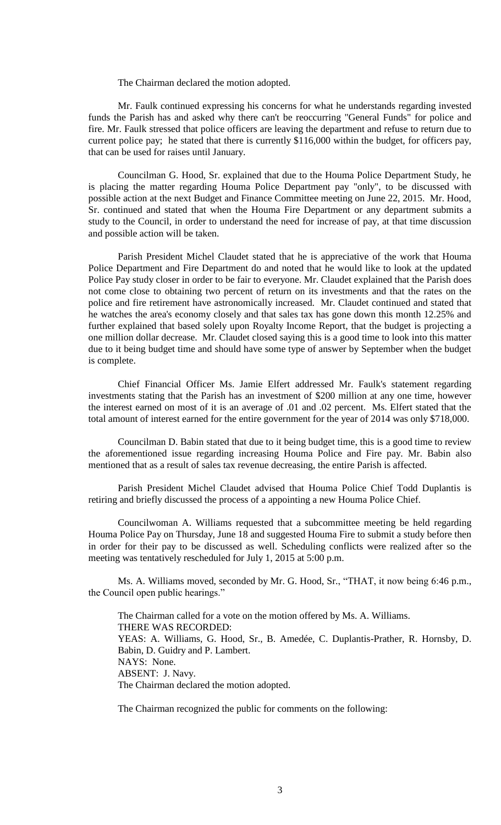The Chairman declared the motion adopted.

Mr. Faulk continued expressing his concerns for what he understands regarding invested funds the Parish has and asked why there can't be reoccurring "General Funds" for police and fire. Mr. Faulk stressed that police officers are leaving the department and refuse to return due to current police pay; he stated that there is currently \$116,000 within the budget, for officers pay, that can be used for raises until January.

Councilman G. Hood, Sr. explained that due to the Houma Police Department Study, he is placing the matter regarding Houma Police Department pay "only", to be discussed with possible action at the next Budget and Finance Committee meeting on June 22, 2015. Mr. Hood, Sr. continued and stated that when the Houma Fire Department or any department submits a study to the Council, in order to understand the need for increase of pay, at that time discussion and possible action will be taken.

Parish President Michel Claudet stated that he is appreciative of the work that Houma Police Department and Fire Department do and noted that he would like to look at the updated Police Pay study closer in order to be fair to everyone. Mr. Claudet explained that the Parish does not come close to obtaining two percent of return on its investments and that the rates on the police and fire retirement have astronomically increased. Mr. Claudet continued and stated that he watches the area's economy closely and that sales tax has gone down this month 12.25% and further explained that based solely upon Royalty Income Report, that the budget is projecting a one million dollar decrease. Mr. Claudet closed saying this is a good time to look into this matter due to it being budget time and should have some type of answer by September when the budget is complete.

Chief Financial Officer Ms. Jamie Elfert addressed Mr. Faulk's statement regarding investments stating that the Parish has an investment of \$200 million at any one time, however the interest earned on most of it is an average of .01 and .02 percent. Ms. Elfert stated that the total amount of interest earned for the entire government for the year of 2014 was only \$718,000.

Councilman D. Babin stated that due to it being budget time, this is a good time to review the aforementioned issue regarding increasing Houma Police and Fire pay. Mr. Babin also mentioned that as a result of sales tax revenue decreasing, the entire Parish is affected.

Parish President Michel Claudet advised that Houma Police Chief Todd Duplantis is retiring and briefly discussed the process of a appointing a new Houma Police Chief.

Councilwoman A. Williams requested that a subcommittee meeting be held regarding Houma Police Pay on Thursday, June 18 and suggested Houma Fire to submit a study before then in order for their pay to be discussed as well. Scheduling conflicts were realized after so the meeting was tentatively rescheduled for July 1, 2015 at 5:00 p.m.

Ms. A. Williams moved, seconded by Mr. G. Hood, Sr., "THAT, it now being 6:46 p.m., the Council open public hearings."

The Chairman called for a vote on the motion offered by Ms. A. Williams. THERE WAS RECORDED: YEAS: A. Williams, G. Hood, Sr., B. Amedée, C. Duplantis-Prather, R. Hornsby, D. Babin, D. Guidry and P. Lambert. NAYS: None. ABSENT: J. Navy. The Chairman declared the motion adopted.

The Chairman recognized the public for comments on the following: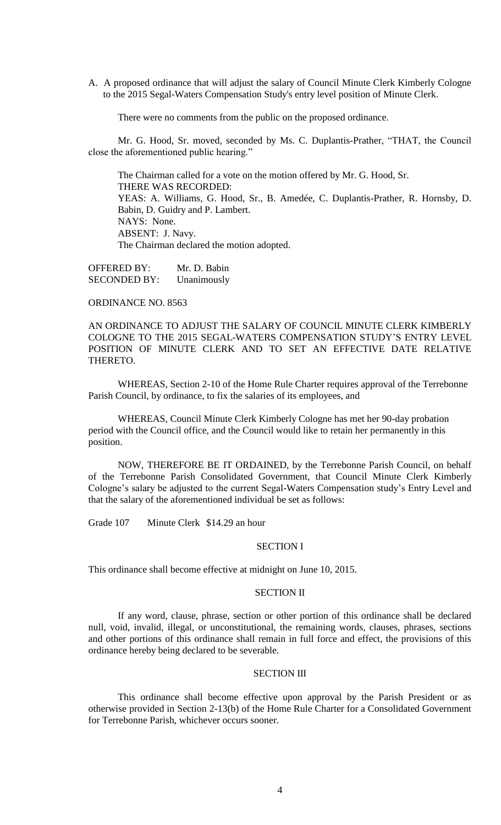A. A proposed ordinance that will adjust the salary of Council Minute Clerk Kimberly Cologne to the 2015 Segal-Waters Compensation Study's entry level position of Minute Clerk.

There were no comments from the public on the proposed ordinance.

Mr. G. Hood, Sr. moved, seconded by Ms. C. Duplantis-Prather, "THAT, the Council close the aforementioned public hearing."

The Chairman called for a vote on the motion offered by Mr. G. Hood, Sr. THERE WAS RECORDED: YEAS: A. Williams, G. Hood, Sr., B. Amedée, C. Duplantis-Prather, R. Hornsby, D. Babin, D. Guidry and P. Lambert. NAYS: None. ABSENT: J. Navy. The Chairman declared the motion adopted.

OFFERED BY: Mr. D. Babin SECONDED BY: Unanimously

ORDINANCE NO. 8563

AN ORDINANCE TO ADJUST THE SALARY OF COUNCIL MINUTE CLERK KIMBERLY COLOGNE TO THE 2015 SEGAL-WATERS COMPENSATION STUDY'S ENTRY LEVEL POSITION OF MINUTE CLERK AND TO SET AN EFFECTIVE DATE RELATIVE THERETO.

WHEREAS, Section 2-10 of the Home Rule Charter requires approval of the Terrebonne Parish Council, by ordinance, to fix the salaries of its employees, and

WHEREAS, Council Minute Clerk Kimberly Cologne has met her 90-day probation period with the Council office, and the Council would like to retain her permanently in this position.

NOW, THEREFORE BE IT ORDAINED, by the Terrebonne Parish Council, on behalf of the Terrebonne Parish Consolidated Government, that Council Minute Clerk Kimberly Cologne's salary be adjusted to the current Segal-Waters Compensation study's Entry Level and that the salary of the aforementioned individual be set as follows:

Grade 107 Minute Clerk \$14.29 an hour

# SECTION I

This ordinance shall become effective at midnight on June 10, 2015.

## SECTION II

If any word, clause, phrase, section or other portion of this ordinance shall be declared null, void, invalid, illegal, or unconstitutional, the remaining words, clauses, phrases, sections and other portions of this ordinance shall remain in full force and effect, the provisions of this ordinance hereby being declared to be severable.

# SECTION III

This ordinance shall become effective upon approval by the Parish President or as otherwise provided in Section 2-13(b) of the Home Rule Charter for a Consolidated Government for Terrebonne Parish, whichever occurs sooner.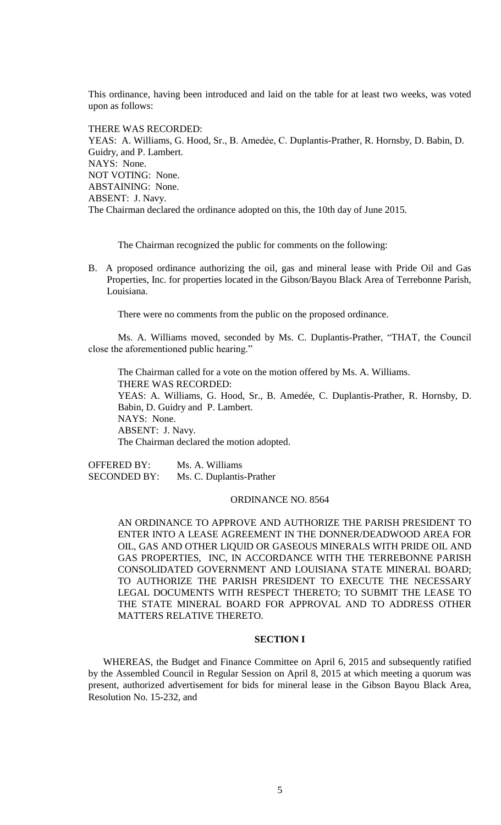This ordinance, having been introduced and laid on the table for at least two weeks, was voted upon as follows:

THERE WAS RECORDED: YEAS: A. Williams, G. Hood, Sr., B. Amedėe, C. Duplantis-Prather, R. Hornsby, D. Babin, D. Guidry, and P. Lambert. NAYS: None. NOT VOTING: None. ABSTAINING: None. ABSENT: J. Navy. The Chairman declared the ordinance adopted on this, the 10th day of June 2015.

The Chairman recognized the public for comments on the following:

B. A proposed ordinance authorizing the oil, gas and mineral lease with Pride Oil and Gas Properties, Inc. for properties located in the Gibson/Bayou Black Area of Terrebonne Parish, Louisiana.

There were no comments from the public on the proposed ordinance.

Ms. A. Williams moved, seconded by Ms. C. Duplantis-Prather, "THAT, the Council close the aforementioned public hearing."

 The Chairman called for a vote on the motion offered by Ms. A. Williams. THERE WAS RECORDED: YEAS: A. Williams, G. Hood, Sr., B. Amedée, C. Duplantis-Prather, R. Hornsby, D. Babin, D. Guidry and P. Lambert. NAYS: None. ABSENT: J. Navy. The Chairman declared the motion adopted.

OFFERED BY: Ms. A. Williams SECONDED BY: Ms. C. Duplantis-Prather

#### ORDINANCE NO. 8564

AN ORDINANCE TO APPROVE AND AUTHORIZE THE PARISH PRESIDENT TO ENTER INTO A LEASE AGREEMENT IN THE DONNER/DEADWOOD AREA FOR OIL, GAS AND OTHER LIQUID OR GASEOUS MINERALS WITH PRIDE OIL AND GAS PROPERTIES, INC, IN ACCORDANCE WITH THE TERREBONNE PARISH CONSOLIDATED GOVERNMENT AND LOUISIANA STATE MINERAL BOARD; TO AUTHORIZE THE PARISH PRESIDENT TO EXECUTE THE NECESSARY LEGAL DOCUMENTS WITH RESPECT THERETO; TO SUBMIT THE LEASE TO THE STATE MINERAL BOARD FOR APPROVAL AND TO ADDRESS OTHER MATTERS RELATIVE THERETO.

# **SECTION I**

WHEREAS, the Budget and Finance Committee on April 6, 2015 and subsequently ratified by the Assembled Council in Regular Session on April 8, 2015 at which meeting a quorum was present, authorized advertisement for bids for mineral lease in the Gibson Bayou Black Area, Resolution No. 15-232, and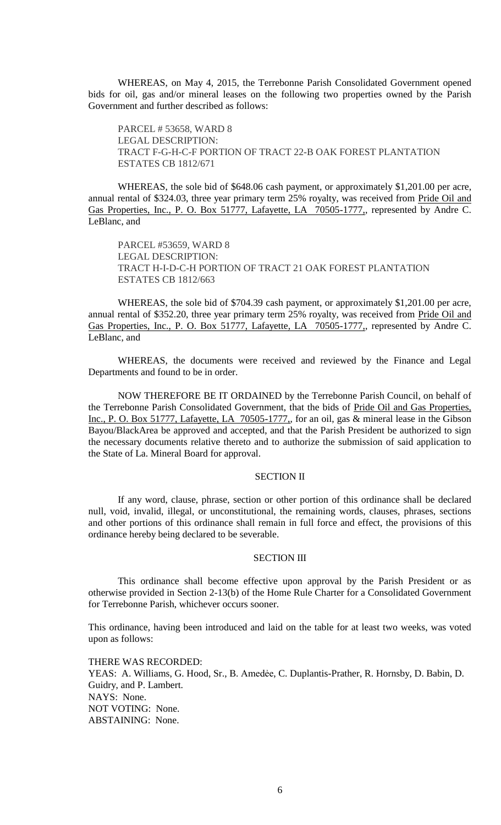WHEREAS, on May 4, 2015, the Terrebonne Parish Consolidated Government opened bids for oil, gas and/or mineral leases on the following two properties owned by the Parish Government and further described as follows:

PARCEL # 53658, WARD 8 LEGAL DESCRIPTION: TRACT F-G-H-C-F PORTION OF TRACT 22-B OAK FOREST PLANTATION ESTATES CB 1812/671

WHEREAS, the sole bid of \$648.06 cash payment, or approximately \$1,201.00 per acre, annual rental of \$324.03, three year primary term 25% royalty, was received from Pride Oil and Gas Properties, Inc., P. O. Box 51777, Lafayette, LA 70505-1777,, represented by Andre C. LeBlanc, and

PARCEL #53659, WARD 8 LEGAL DESCRIPTION: TRACT H-I-D-C-H PORTION OF TRACT 21 OAK FOREST PLANTATION ESTATES CB 1812/663

WHEREAS, the sole bid of \$704.39 cash payment, or approximately \$1,201.00 per acre, annual rental of \$352.20, three year primary term 25% royalty, was received from Pride Oil and Gas Properties, Inc., P. O. Box 51777, Lafayette, LA 70505-1777, represented by Andre C. LeBlanc, and

WHEREAS, the documents were received and reviewed by the Finance and Legal Departments and found to be in order.

NOW THEREFORE BE IT ORDAINED by the Terrebonne Parish Council, on behalf of the Terrebonne Parish Consolidated Government, that the bids of Pride Oil and Gas Properties, Inc., P. O. Box 51777, Lafayette, LA 70505-1777,, for an oil, gas & mineral lease in the Gibson Bayou/BlackArea be approved and accepted, and that the Parish President be authorized to sign the necessary documents relative thereto and to authorize the submission of said application to the State of La. Mineral Board for approval.

# SECTION II

If any word, clause, phrase, section or other portion of this ordinance shall be declared null, void, invalid, illegal, or unconstitutional, the remaining words, clauses, phrases, sections and other portions of this ordinance shall remain in full force and effect, the provisions of this ordinance hereby being declared to be severable.

## SECTION III

This ordinance shall become effective upon approval by the Parish President or as otherwise provided in Section 2-13(b) of the Home Rule Charter for a Consolidated Government for Terrebonne Parish, whichever occurs sooner.

This ordinance, having been introduced and laid on the table for at least two weeks, was voted upon as follows:

THERE WAS RECORDED: YEAS: A. Williams, G. Hood, Sr., B. Amedėe, C. Duplantis-Prather, R. Hornsby, D. Babin, D. Guidry, and P. Lambert. NAYS: None. NOT VOTING: None. ABSTAINING: None.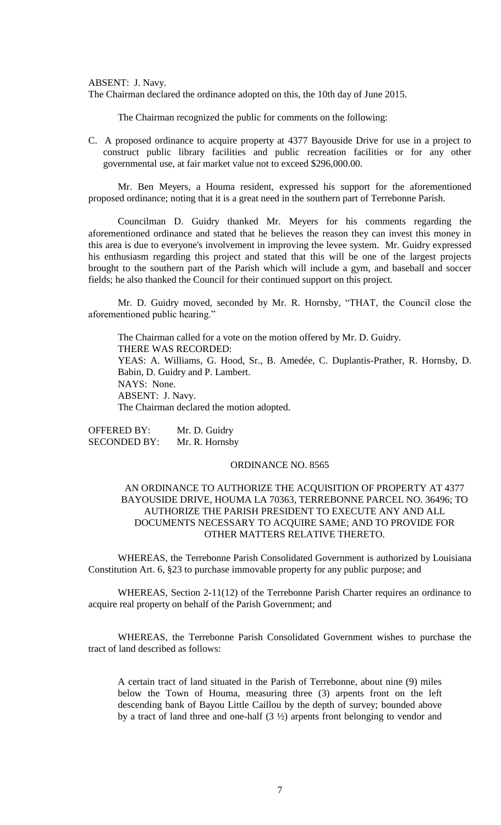ABSENT: J. Navy.

The Chairman declared the ordinance adopted on this, the 10th day of June 2015.

The Chairman recognized the public for comments on the following:

C. A proposed ordinance to acquire property at 4377 Bayouside Drive for use in a project to construct public library facilities and public recreation facilities or for any other governmental use, at fair market value not to exceed \$296,000.00.

Mr. Ben Meyers, a Houma resident, expressed his support for the aforementioned proposed ordinance; noting that it is a great need in the southern part of Terrebonne Parish.

Councilman D. Guidry thanked Mr. Meyers for his comments regarding the aforementioned ordinance and stated that he believes the reason they can invest this money in this area is due to everyone's involvement in improving the levee system. Mr. Guidry expressed his enthusiasm regarding this project and stated that this will be one of the largest projects brought to the southern part of the Parish which will include a gym, and baseball and soccer fields; he also thanked the Council for their continued support on this project.

Mr. D. Guidry moved, seconded by Mr. R. Hornsby, "THAT, the Council close the aforementioned public hearing."

The Chairman called for a vote on the motion offered by Mr. D. Guidry. THERE WAS RECORDED: YEAS: A. Williams, G. Hood, Sr., B. Amedée, C. Duplantis-Prather, R. Hornsby, D. Babin, D. Guidry and P. Lambert. NAYS: None. ABSENT: J. Navy. The Chairman declared the motion adopted.

OFFERED BY: Mr. D. Guidry SECONDED BY: Mr. R. Hornsby

# ORDINANCE NO. 8565

# AN ORDINANCE TO AUTHORIZE THE ACQUISITION OF PROPERTY AT 4377 BAYOUSIDE DRIVE, HOUMA LA 70363, TERREBONNE PARCEL NO. 36496; TO AUTHORIZE THE PARISH PRESIDENT TO EXECUTE ANY AND ALL DOCUMENTS NECESSARY TO ACQUIRE SAME; AND TO PROVIDE FOR OTHER MATTERS RELATIVE THERETO.

WHEREAS, the Terrebonne Parish Consolidated Government is authorized by Louisiana Constitution Art. 6, §23 to purchase immovable property for any public purpose; and

WHEREAS, Section 2-11(12) of the Terrebonne Parish Charter requires an ordinance to acquire real property on behalf of the Parish Government; and

WHEREAS, the Terrebonne Parish Consolidated Government wishes to purchase the tract of land described as follows:

A certain tract of land situated in the Parish of Terrebonne, about nine (9) miles below the Town of Houma, measuring three (3) arpents front on the left descending bank of Bayou Little Caillou by the depth of survey; bounded above by a tract of land three and one-half (3 ½) arpents front belonging to vendor and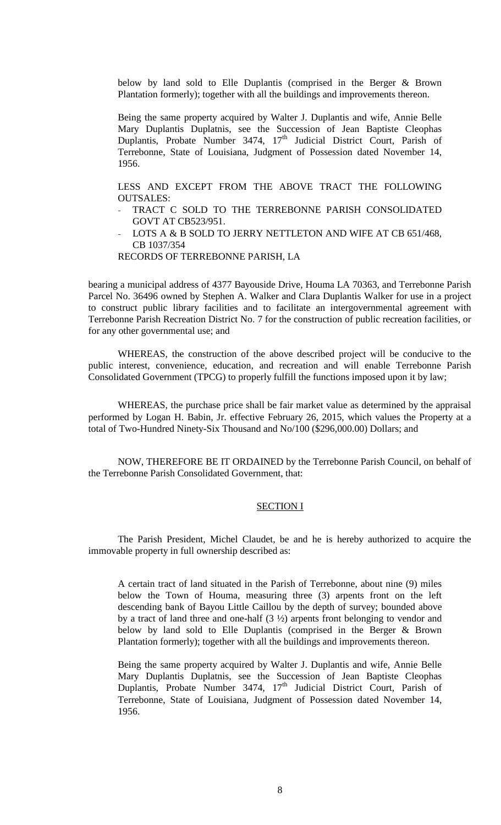below by land sold to Elle Duplantis (comprised in the Berger & Brown Plantation formerly); together with all the buildings and improvements thereon.

Being the same property acquired by Walter J. Duplantis and wife, Annie Belle Mary Duplantis Duplatnis, see the Succession of Jean Baptiste Cleophas Duplantis, Probate Number 3474,  $17<sup>th</sup>$  Judicial District Court, Parish of Terrebonne, State of Louisiana, Judgment of Possession dated November 14, 1956.

LESS AND EXCEPT FROM THE ABOVE TRACT THE FOLLOWING OUTSALES:

- TRACT C SOLD TO THE TERREBONNE PARISH CONSOLIDATED GOVT AT CB523/951.
- LOTS A & B SOLD TO JERRY NETTLETON AND WIFE AT CB 651/468, CB 1037/354

#### RECORDS OF TERREBONNE PARISH, LA

bearing a municipal address of 4377 Bayouside Drive, Houma LA 70363, and Terrebonne Parish Parcel No. 36496 owned by Stephen A. Walker and Clara Duplantis Walker for use in a project to construct public library facilities and to facilitate an intergovernmental agreement with Terrebonne Parish Recreation District No. 7 for the construction of public recreation facilities, or for any other governmental use; and

WHEREAS, the construction of the above described project will be conducive to the public interest, convenience, education, and recreation and will enable Terrebonne Parish Consolidated Government (TPCG) to properly fulfill the functions imposed upon it by law;

WHEREAS, the purchase price shall be fair market value as determined by the appraisal performed by Logan H. Babin, Jr. effective February 26, 2015, which values the Property at a total of Two-Hundred Ninety-Six Thousand and No/100 (\$296,000.00) Dollars; and

NOW, THEREFORE BE IT ORDAINED by the Terrebonne Parish Council, on behalf of the Terrebonne Parish Consolidated Government, that:

# SECTION I

The Parish President, Michel Claudet, be and he is hereby authorized to acquire the immovable property in full ownership described as:

A certain tract of land situated in the Parish of Terrebonne, about nine (9) miles below the Town of Houma, measuring three (3) arpents front on the left descending bank of Bayou Little Caillou by the depth of survey; bounded above by a tract of land three and one-half  $(3 \frac{1}{2})$  arpents front belonging to vendor and below by land sold to Elle Duplantis (comprised in the Berger & Brown Plantation formerly); together with all the buildings and improvements thereon.

Being the same property acquired by Walter J. Duplantis and wife, Annie Belle Mary Duplantis Duplatnis, see the Succession of Jean Baptiste Cleophas Duplantis, Probate Number 3474, 17<sup>th</sup> Judicial District Court, Parish of Terrebonne, State of Louisiana, Judgment of Possession dated November 14, 1956.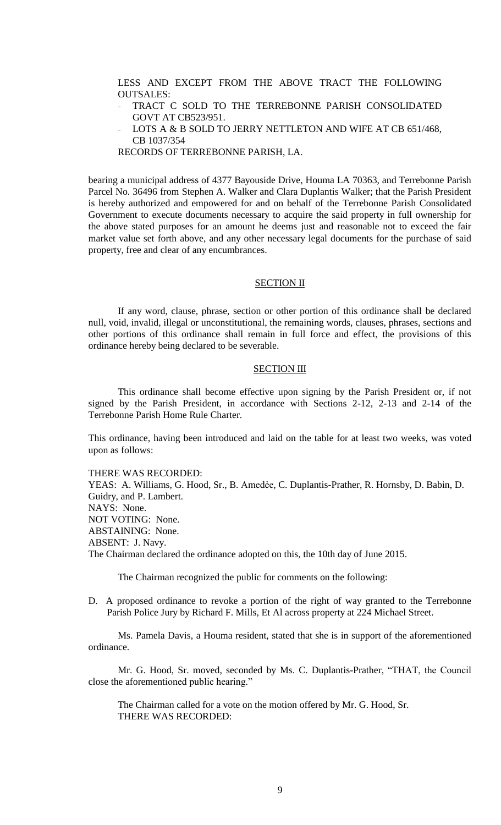LESS AND EXCEPT FROM THE ABOVE TRACT THE FOLLOWING OUTSALES:

- TRACT C SOLD TO THE TERREBONNE PARISH CONSOLIDATED GOVT AT CB523/951.
- LOTS A & B SOLD TO JERRY NETTLETON AND WIFE AT CB 651/468, CB 1037/354

RECORDS OF TERREBONNE PARISH, LA.

bearing a municipal address of 4377 Bayouside Drive, Houma LA 70363, and Terrebonne Parish Parcel No. 36496 from Stephen A. Walker and Clara Duplantis Walker; that the Parish President is hereby authorized and empowered for and on behalf of the Terrebonne Parish Consolidated Government to execute documents necessary to acquire the said property in full ownership for the above stated purposes for an amount he deems just and reasonable not to exceed the fair market value set forth above, and any other necessary legal documents for the purchase of said property, free and clear of any encumbrances.

# **SECTION II**

If any word, clause, phrase, section or other portion of this ordinance shall be declared null, void, invalid, illegal or unconstitutional, the remaining words, clauses, phrases, sections and other portions of this ordinance shall remain in full force and effect, the provisions of this ordinance hereby being declared to be severable.

#### SECTION III

This ordinance shall become effective upon signing by the Parish President or, if not signed by the Parish President, in accordance with Sections 2-12, 2-13 and 2-14 of the Terrebonne Parish Home Rule Charter.

This ordinance, having been introduced and laid on the table for at least two weeks, was voted upon as follows:

THERE WAS RECORDED:

YEAS: A. Williams, G. Hood, Sr., B. Amedėe, C. Duplantis-Prather, R. Hornsby, D. Babin, D. Guidry, and P. Lambert. NAYS: None. NOT VOTING: None. ABSTAINING: None. ABSENT: J. Navy. The Chairman declared the ordinance adopted on this, the 10th day of June 2015.

The Chairman recognized the public for comments on the following:

D. A proposed ordinance to revoke a portion of the right of way granted to the Terrebonne Parish Police Jury by Richard F. Mills, Et Al across property at 224 Michael Street.

Ms. Pamela Davis, a Houma resident, stated that she is in support of the aforementioned ordinance.

Mr. G. Hood, Sr. moved, seconded by Ms. C. Duplantis-Prather, "THAT, the Council close the aforementioned public hearing."

The Chairman called for a vote on the motion offered by Mr. G. Hood, Sr. THERE WAS RECORDED: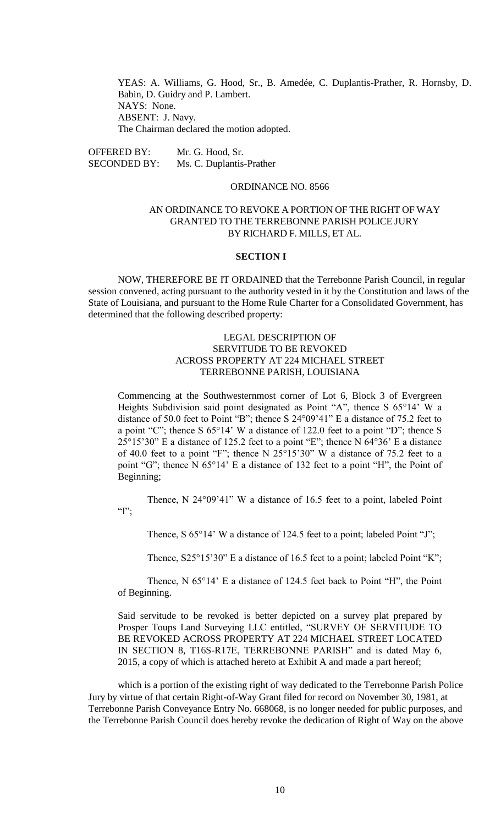YEAS: A. Williams, G. Hood, Sr., B. Amedée, C. Duplantis-Prather, R. Hornsby, D. Babin, D. Guidry and P. Lambert. NAYS: None. ABSENT: J. Navy. The Chairman declared the motion adopted.

OFFERED BY: Mr. G. Hood, Sr. SECONDED BY: Ms. C. Duplantis-Prather

## ORDINANCE NO. 8566

# AN ORDINANCE TO REVOKE A PORTION OF THE RIGHT OF WAY GRANTED TO THE TERREBONNE PARISH POLICE JURY BY RICHARD F. MILLS, ET AL.

#### **SECTION I**

NOW, THEREFORE BE IT ORDAINED that the Terrebonne Parish Council, in regular session convened, acting pursuant to the authority vested in it by the Constitution and laws of the State of Louisiana, and pursuant to the Home Rule Charter for a Consolidated Government, has determined that the following described property:

# LEGAL DESCRIPTION OF SERVITUDE TO BE REVOKED ACROSS PROPERTY AT 224 MICHAEL STREET TERREBONNE PARISH, LOUISIANA

Commencing at the Southwesternmost corner of Lot 6, Block 3 of Evergreen Heights Subdivision said point designated as Point "A", thence S 65°14' W a distance of 50.0 feet to Point "B"; thence S 24°09'41" E a distance of 75.2 feet to a point "C"; thence S 65°14' W a distance of 122.0 feet to a point "D"; thence S 25°15'30" E a distance of 125.2 feet to a point "E"; thence N 64°36' E a distance of 40.0 feet to a point "F"; thence N 25°15'30" W a distance of 75.2 feet to a point "G"; thence N 65°14' E a distance of 132 feet to a point "H", the Point of Beginning;

Thence, N 24°09'41" W a distance of 16.5 feet to a point, labeled Point  $T$ .

Thence, S 65°14' W a distance of 124.5 feet to a point; labeled Point "J";

Thence, S25°15'30" E a distance of 16.5 feet to a point; labeled Point "K";

Thence, N 65°14' E a distance of 124.5 feet back to Point "H", the Point of Beginning.

Said servitude to be revoked is better depicted on a survey plat prepared by Prosper Toups Land Surveying LLC entitled, "SURVEY OF SERVITUDE TO BE REVOKED ACROSS PROPERTY AT 224 MICHAEL STREET LOCATED IN SECTION 8, T16S-R17E, TERREBONNE PARISH" and is dated May 6, 2015, a copy of which is attached hereto at Exhibit A and made a part hereof;

which is a portion of the existing right of way dedicated to the Terrebonne Parish Police Jury by virtue of that certain Right-of-Way Grant filed for record on November 30, 1981, at Terrebonne Parish Conveyance Entry No. 668068, is no longer needed for public purposes, and the Terrebonne Parish Council does hereby revoke the dedication of Right of Way on the above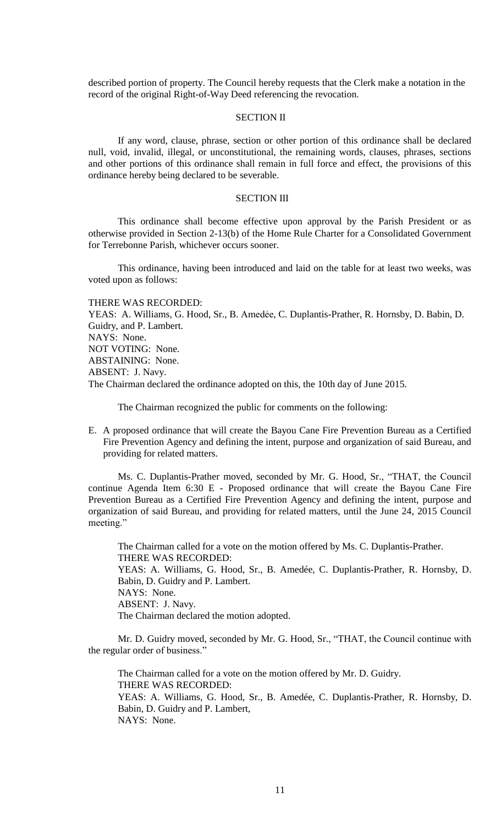described portion of property. The Council hereby requests that the Clerk make a notation in the record of the original Right-of-Way Deed referencing the revocation.

# SECTION II

If any word, clause, phrase, section or other portion of this ordinance shall be declared null, void, invalid, illegal, or unconstitutional, the remaining words, clauses, phrases, sections and other portions of this ordinance shall remain in full force and effect, the provisions of this ordinance hereby being declared to be severable.

# SECTION III

This ordinance shall become effective upon approval by the Parish President or as otherwise provided in Section 2-13(b) of the Home Rule Charter for a Consolidated Government for Terrebonne Parish, whichever occurs sooner.

This ordinance, having been introduced and laid on the table for at least two weeks, was voted upon as follows:

THERE WAS RECORDED:

YEAS: A. Williams, G. Hood, Sr., B. Amedėe, C. Duplantis-Prather, R. Hornsby, D. Babin, D. Guidry, and P. Lambert. NAYS: None. NOT VOTING: None. ABSTAINING: None. ABSENT: J. Navy. The Chairman declared the ordinance adopted on this, the 10th day of June 2015.

The Chairman recognized the public for comments on the following:

E. A proposed ordinance that will create the Bayou Cane Fire Prevention Bureau as a Certified Fire Prevention Agency and defining the intent, purpose and organization of said Bureau, and providing for related matters.

Ms. C. Duplantis-Prather moved, seconded by Mr. G. Hood, Sr., "THAT, the Council continue Agenda Item 6:30 E - Proposed ordinance that will create the Bayou Cane Fire Prevention Bureau as a Certified Fire Prevention Agency and defining the intent, purpose and organization of said Bureau, and providing for related matters, until the June 24, 2015 Council meeting."

The Chairman called for a vote on the motion offered by Ms. C. Duplantis-Prather. THERE WAS RECORDED: YEAS: A. Williams, G. Hood, Sr., B. Amedée, C. Duplantis-Prather, R. Hornsby, D. Babin, D. Guidry and P. Lambert. NAYS: None. ABSENT: J. Navy. The Chairman declared the motion adopted.

Mr. D. Guidry moved, seconded by Mr. G. Hood, Sr., "THAT, the Council continue with the regular order of business."

The Chairman called for a vote on the motion offered by Mr. D. Guidry. THERE WAS RECORDED: YEAS: A. Williams, G. Hood, Sr., B. Amedée, C. Duplantis-Prather, R. Hornsby, D. Babin, D. Guidry and P. Lambert, NAYS: None.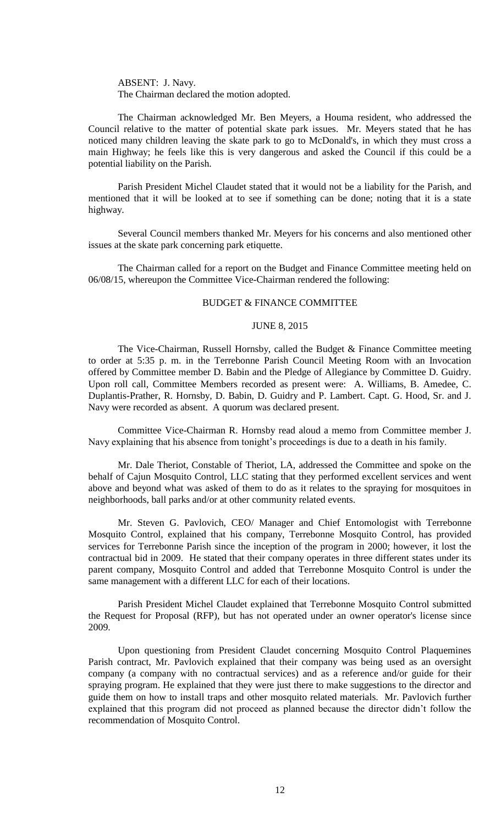ABSENT: J. Navy. The Chairman declared the motion adopted.

The Chairman acknowledged Mr. Ben Meyers, a Houma resident, who addressed the Council relative to the matter of potential skate park issues. Mr. Meyers stated that he has noticed many children leaving the skate park to go to McDonald's, in which they must cross a main Highway; he feels like this is very dangerous and asked the Council if this could be a potential liability on the Parish.

Parish President Michel Claudet stated that it would not be a liability for the Parish, and mentioned that it will be looked at to see if something can be done; noting that it is a state highway.

Several Council members thanked Mr. Meyers for his concerns and also mentioned other issues at the skate park concerning park etiquette.

The Chairman called for a report on the Budget and Finance Committee meeting held on 06/08/15, whereupon the Committee Vice-Chairman rendered the following:

#### BUDGET & FINANCE COMMITTEE

#### JUNE 8, 2015

The Vice-Chairman, Russell Hornsby, called the Budget & Finance Committee meeting to order at 5:35 p. m. in the Terrebonne Parish Council Meeting Room with an Invocation offered by Committee member D. Babin and the Pledge of Allegiance by Committee D. Guidry. Upon roll call, Committee Members recorded as present were: A. Williams, B. Amedee, C. Duplantis-Prather, R. Hornsby, D. Babin, D. Guidry and P. Lambert. Capt. G. Hood, Sr. and J. Navy were recorded as absent. A quorum was declared present.

Committee Vice-Chairman R. Hornsby read aloud a memo from Committee member J. Navy explaining that his absence from tonight's proceedings is due to a death in his family.

Mr. Dale Theriot, Constable of Theriot, LA, addressed the Committee and spoke on the behalf of Cajun Mosquito Control, LLC stating that they performed excellent services and went above and beyond what was asked of them to do as it relates to the spraying for mosquitoes in neighborhoods, ball parks and/or at other community related events.

Mr. Steven G. Pavlovich, CEO/ Manager and Chief Entomologist with Terrebonne Mosquito Control, explained that his company, Terrebonne Mosquito Control, has provided services for Terrebonne Parish since the inception of the program in 2000; however, it lost the contractual bid in 2009. He stated that their company operates in three different states under its parent company, Mosquito Control and added that Terrebonne Mosquito Control is under the same management with a different LLC for each of their locations.

Parish President Michel Claudet explained that Terrebonne Mosquito Control submitted the Request for Proposal (RFP), but has not operated under an owner operator's license since 2009.

Upon questioning from President Claudet concerning Mosquito Control Plaquemines Parish contract, Mr. Pavlovich explained that their company was being used as an oversight company (a company with no contractual services) and as a reference and/or guide for their spraying program. He explained that they were just there to make suggestions to the director and guide them on how to install traps and other mosquito related materials. Mr. Pavlovich further explained that this program did not proceed as planned because the director didn't follow the recommendation of Mosquito Control.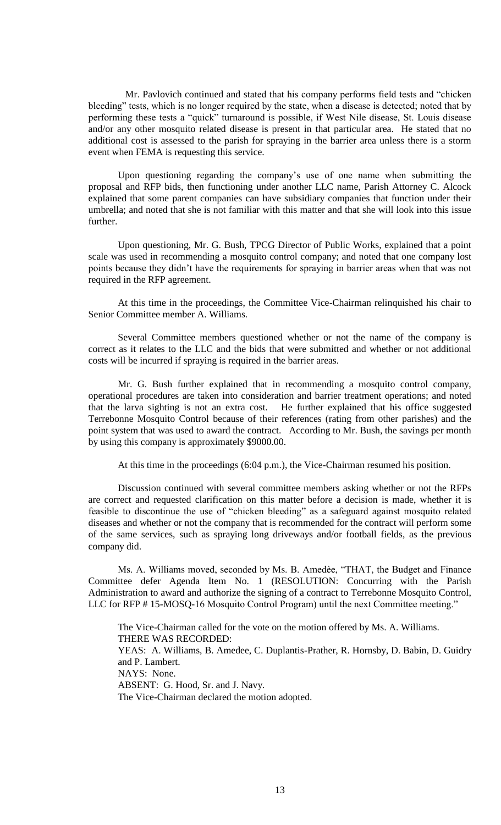Mr. Pavlovich continued and stated that his company performs field tests and "chicken bleeding" tests, which is no longer required by the state, when a disease is detected; noted that by performing these tests a "quick" turnaround is possible, if West Nile disease, St. Louis disease and/or any other mosquito related disease is present in that particular area. He stated that no additional cost is assessed to the parish for spraying in the barrier area unless there is a storm event when FEMA is requesting this service.

Upon questioning regarding the company's use of one name when submitting the proposal and RFP bids, then functioning under another LLC name, Parish Attorney C. Alcock explained that some parent companies can have subsidiary companies that function under their umbrella; and noted that she is not familiar with this matter and that she will look into this issue further.

Upon questioning, Mr. G. Bush, TPCG Director of Public Works, explained that a point scale was used in recommending a mosquito control company; and noted that one company lost points because they didn't have the requirements for spraying in barrier areas when that was not required in the RFP agreement.

At this time in the proceedings, the Committee Vice-Chairman relinquished his chair to Senior Committee member A. Williams.

Several Committee members questioned whether or not the name of the company is correct as it relates to the LLC and the bids that were submitted and whether or not additional costs will be incurred if spraying is required in the barrier areas.

Mr. G. Bush further explained that in recommending a mosquito control company, operational procedures are taken into consideration and barrier treatment operations; and noted that the larva sighting is not an extra cost. He further explained that his office suggested Terrebonne Mosquito Control because of their references (rating from other parishes) and the point system that was used to award the contract. According to Mr. Bush, the savings per month by using this company is approximately \$9000.00.

At this time in the proceedings (6:04 p.m.), the Vice-Chairman resumed his position.

Discussion continued with several committee members asking whether or not the RFPs are correct and requested clarification on this matter before a decision is made, whether it is feasible to discontinue the use of "chicken bleeding" as a safeguard against mosquito related diseases and whether or not the company that is recommended for the contract will perform some of the same services, such as spraying long driveways and/or football fields, as the previous company did.

Ms. A. Williams moved, seconded by Ms. B. Amedèe, "THAT, the Budget and Finance Committee defer Agenda Item No. 1 (RESOLUTION: Concurring with the Parish Administration to award and authorize the signing of a contract to Terrebonne Mosquito Control, LLC for RFP # 15-MOSQ-16 Mosquito Control Program) until the next Committee meeting."

The Vice-Chairman called for the vote on the motion offered by Ms. A. Williams. THERE WAS RECORDED: YEAS: A. Williams, B. Amedee, C. Duplantis-Prather, R. Hornsby, D. Babin, D. Guidry and P. Lambert. NAYS: None. ABSENT: G. Hood, Sr. and J. Navy. The Vice-Chairman declared the motion adopted.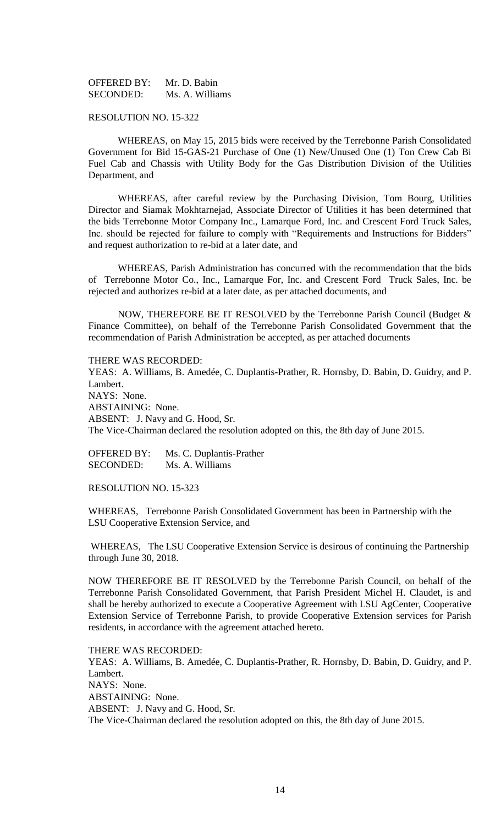OFFERED BY: Mr. D. Babin SECONDED: Ms. A. Williams

## RESOLUTION NO. 15-322

WHEREAS, on May 15, 2015 bids were received by the Terrebonne Parish Consolidated Government for Bid 15-GAS-21 Purchase of One (1) New/Unused One (1) Ton Crew Cab Bi Fuel Cab and Chassis with Utility Body for the Gas Distribution Division of the Utilities Department, and

WHEREAS, after careful review by the Purchasing Division, Tom Bourg, Utilities Director and Siamak Mokhtarnejad, Associate Director of Utilities it has been determined that the bids Terrebonne Motor Company Inc., Lamarque Ford, Inc. and Crescent Ford Truck Sales, Inc. should be rejected for failure to comply with "Requirements and Instructions for Bidders" and request authorization to re-bid at a later date, and

WHEREAS, Parish Administration has concurred with the recommendation that the bids of Terrebonne Motor Co., Inc., Lamarque For, Inc. and Crescent Ford Truck Sales, Inc. be rejected and authorizes re-bid at a later date, as per attached documents, and

NOW, THEREFORE BE IT RESOLVED by the Terrebonne Parish Council (Budget & Finance Committee), on behalf of the Terrebonne Parish Consolidated Government that the recommendation of Parish Administration be accepted, as per attached documents

THERE WAS RECORDED:

YEAS: A. Williams, B. Amedée, C. Duplantis-Prather, R. Hornsby, D. Babin, D. Guidry, and P. Lambert. NAYS: None. ABSTAINING: None. ABSENT: J. Navy and G. Hood, Sr. The Vice-Chairman declared the resolution adopted on this, the 8th day of June 2015.

OFFERED BY: Ms. C. Duplantis-Prather SECONDED: Ms. A. Williams

RESOLUTION NO. 15-323

WHEREAS, Terrebonne Parish Consolidated Government has been in Partnership with the LSU Cooperative Extension Service, and

WHEREAS, The LSU Cooperative Extension Service is desirous of continuing the Partnership through June 30, 2018.

NOW THEREFORE BE IT RESOLVED by the Terrebonne Parish Council, on behalf of the Terrebonne Parish Consolidated Government, that Parish President Michel H. Claudet, is and shall be hereby authorized to execute a Cooperative Agreement with LSU AgCenter, Cooperative Extension Service of Terrebonne Parish, to provide Cooperative Extension services for Parish residents, in accordance with the agreement attached hereto.

THERE WAS RECORDED:

YEAS: A. Williams, B. Amedée, C. Duplantis-Prather, R. Hornsby, D. Babin, D. Guidry, and P. Lambert. NAYS: None. ABSTAINING: None. ABSENT: J. Navy and G. Hood, Sr. The Vice-Chairman declared the resolution adopted on this, the 8th day of June 2015.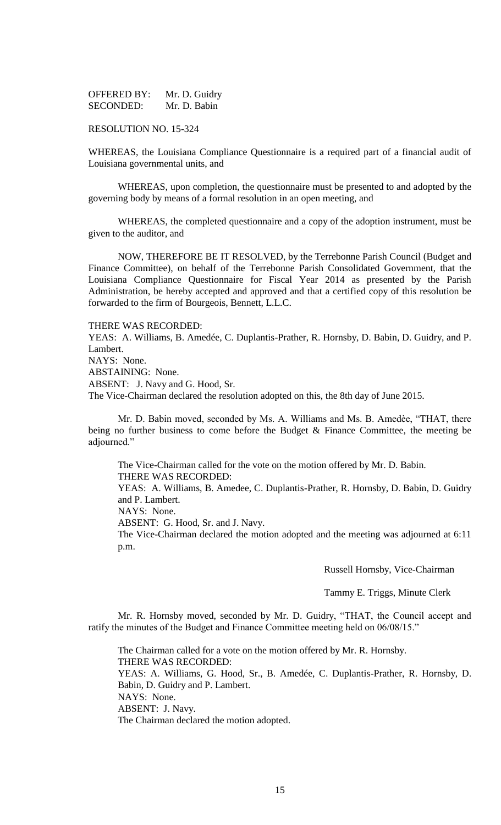| <b>OFFERED BY:</b> | Mr. D. Guidry |
|--------------------|---------------|
| SECONDED:          | Mr. D. Babin  |

#### RESOLUTION NO. 15-324

WHEREAS, the Louisiana Compliance Questionnaire is a required part of a financial audit of Louisiana governmental units, and

WHEREAS, upon completion, the questionnaire must be presented to and adopted by the governing body by means of a formal resolution in an open meeting, and

WHEREAS, the completed questionnaire and a copy of the adoption instrument, must be given to the auditor, and

NOW, THEREFORE BE IT RESOLVED, by the Terrebonne Parish Council (Budget and Finance Committee), on behalf of the Terrebonne Parish Consolidated Government, that the Louisiana Compliance Questionnaire for Fiscal Year 2014 as presented by the Parish Administration, be hereby accepted and approved and that a certified copy of this resolution be forwarded to the firm of Bourgeois, Bennett, L.L.C.

#### THERE WAS RECORDED:

YEAS: A. Williams, B. Amedée, C. Duplantis-Prather, R. Hornsby, D. Babin, D. Guidry, and P. Lambert.

NAYS: None.

ABSTAINING: None.

ABSENT: J. Navy and G. Hood, Sr.

The Vice-Chairman declared the resolution adopted on this, the 8th day of June 2015.

Mr. D. Babin moved, seconded by Ms. A. Williams and Ms. B. Amedèe, "THAT, there being no further business to come before the Budget & Finance Committee, the meeting be adjourned."

The Vice-Chairman called for the vote on the motion offered by Mr. D. Babin. THERE WAS RECORDED: YEAS: A. Williams, B. Amedee, C. Duplantis-Prather, R. Hornsby, D. Babin, D. Guidry and P. Lambert. NAYS: None. ABSENT: G. Hood, Sr. and J. Navy. The Vice-Chairman declared the motion adopted and the meeting was adjourned at 6:11 p.m.

Russell Hornsby, Vice-Chairman

Tammy E. Triggs, Minute Clerk

Mr. R. Hornsby moved, seconded by Mr. D. Guidry, "THAT, the Council accept and ratify the minutes of the Budget and Finance Committee meeting held on 06/08/15."

The Chairman called for a vote on the motion offered by Mr. R. Hornsby. THERE WAS RECORDED: YEAS: A. Williams, G. Hood, Sr., B. Amedée, C. Duplantis-Prather, R. Hornsby, D. Babin, D. Guidry and P. Lambert. NAYS: None. ABSENT: J. Navy. The Chairman declared the motion adopted.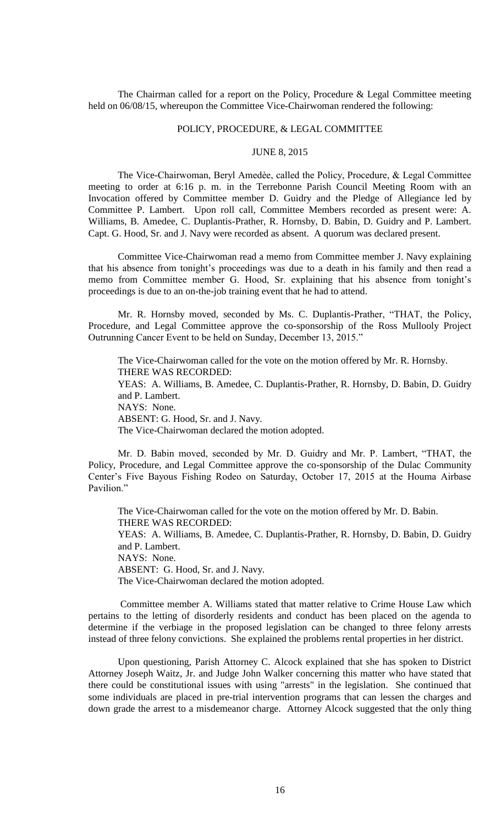The Chairman called for a report on the Policy, Procedure & Legal Committee meeting held on 06/08/15, whereupon the Committee Vice-Chairwoman rendered the following:

## POLICY, PROCEDURE, & LEGAL COMMITTEE

# JUNE 8, 2015

The Vice-Chairwoman, Beryl Amedèe, called the Policy, Procedure, & Legal Committee meeting to order at 6:16 p. m. in the Terrebonne Parish Council Meeting Room with an Invocation offered by Committee member D. Guidry and the Pledge of Allegiance led by Committee P. Lambert. Upon roll call, Committee Members recorded as present were: A. Williams, B. Amedee, C. Duplantis-Prather, R. Hornsby, D. Babin, D. Guidry and P. Lambert. Capt. G. Hood, Sr. and J. Navy were recorded as absent. A quorum was declared present.

Committee Vice-Chairwoman read a memo from Committee member J. Navy explaining that his absence from tonight's proceedings was due to a death in his family and then read a memo from Committee member G. Hood, Sr. explaining that his absence from tonight's proceedings is due to an on-the-job training event that he had to attend.

Mr. R. Hornsby moved, seconded by Ms. C. Duplantis-Prather, "THAT, the Policy, Procedure, and Legal Committee approve the co-sponsorship of the Ross Mullooly Project Outrunning Cancer Event to be held on Sunday, December 13, 2015."

The Vice-Chairwoman called for the vote on the motion offered by Mr. R. Hornsby. THERE WAS RECORDED: YEAS: A. Williams, B. Amedee, C. Duplantis-Prather, R. Hornsby, D. Babin, D. Guidry and P. Lambert. NAYS: None. ABSENT: G. Hood, Sr. and J. Navy. The Vice-Chairwoman declared the motion adopted.

 Mr. D. Babin moved, seconded by Mr. D. Guidry and Mr. P. Lambert, "THAT, the Policy, Procedure, and Legal Committee approve the co-sponsorship of the Dulac Community Center's Five Bayous Fishing Rodeo on Saturday, October 17, 2015 at the Houma Airbase Pavilion."

The Vice-Chairwoman called for the vote on the motion offered by Mr. D. Babin. THERE WAS RECORDED: YEAS: A. Williams, B. Amedee, C. Duplantis-Prather, R. Hornsby, D. Babin, D. Guidry and P. Lambert. NAYS: None. ABSENT: G. Hood, Sr. and J. Navy. The Vice-Chairwoman declared the motion adopted.

Committee member A. Williams stated that matter relative to Crime House Law which pertains to the letting of disorderly residents and conduct has been placed on the agenda to determine if the verbiage in the proposed legislation can be changed to three felony arrests instead of three felony convictions. She explained the problems rental properties in her district.

Upon questioning, Parish Attorney C. Alcock explained that she has spoken to District Attorney Joseph Waitz, Jr. and Judge John Walker concerning this matter who have stated that there could be constitutional issues with using "arrests" in the legislation. She continued that some individuals are placed in pre-trial intervention programs that can lessen the charges and down grade the arrest to a misdemeanor charge. Attorney Alcock suggested that the only thing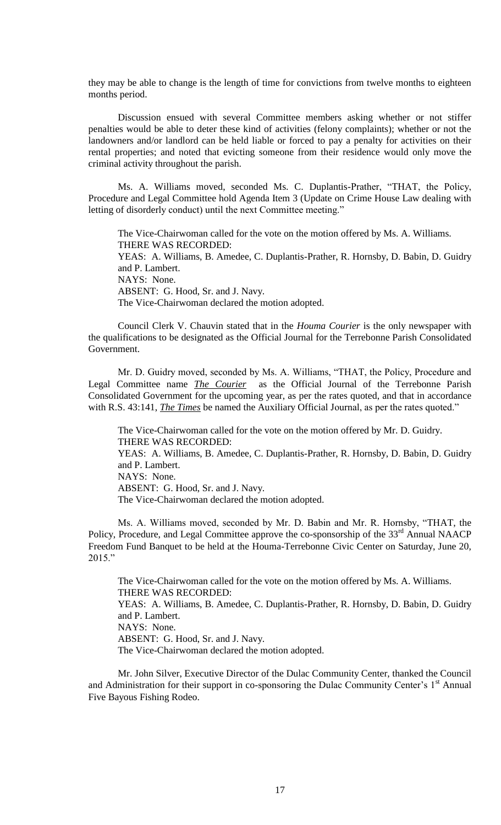they may be able to change is the length of time for convictions from twelve months to eighteen months period.

Discussion ensued with several Committee members asking whether or not stiffer penalties would be able to deter these kind of activities (felony complaints); whether or not the landowners and/or landlord can be held liable or forced to pay a penalty for activities on their rental properties; and noted that evicting someone from their residence would only move the criminal activity throughout the parish.

Ms. A. Williams moved, seconded Ms. C. Duplantis-Prather, "THAT, the Policy, Procedure and Legal Committee hold Agenda Item 3 (Update on Crime House Law dealing with letting of disorderly conduct) until the next Committee meeting."

The Vice-Chairwoman called for the vote on the motion offered by Ms. A. Williams. THERE WAS RECORDED: YEAS: A. Williams, B. Amedee, C. Duplantis-Prather, R. Hornsby, D. Babin, D. Guidry and P. Lambert. NAYS: None. ABSENT: G. Hood, Sr. and J. Navy. The Vice-Chairwoman declared the motion adopted.

Council Clerk V. Chauvin stated that in the *Houma Courier* is the only newspaper with the qualifications to be designated as the Official Journal for the Terrebonne Parish Consolidated Government.

Mr. D. Guidry moved, seconded by Ms. A. Williams, "THAT, the Policy, Procedure and Legal Committee name *The Courier* as the Official Journal of the Terrebonne Parish Consolidated Government for the upcoming year, as per the rates quoted, and that in accordance with R.S. 43:141, *The Times* be named the Auxiliary Official Journal, as per the rates quoted."

The Vice-Chairwoman called for the vote on the motion offered by Mr. D. Guidry. THERE WAS RECORDED: YEAS: A. Williams, B. Amedee, C. Duplantis-Prather, R. Hornsby, D. Babin, D. Guidry and P. Lambert. NAYS: None. ABSENT: G. Hood, Sr. and J. Navy. The Vice-Chairwoman declared the motion adopted.

Ms. A. Williams moved, seconded by Mr. D. Babin and Mr. R. Hornsby, "THAT, the Policy, Procedure, and Legal Committee approve the co-sponsorship of the 33<sup>rd</sup> Annual NAACP Freedom Fund Banquet to be held at the Houma-Terrebonne Civic Center on Saturday, June 20, 2015."

The Vice-Chairwoman called for the vote on the motion offered by Ms. A. Williams. THERE WAS RECORDED: YEAS: A. Williams, B. Amedee, C. Duplantis-Prather, R. Hornsby, D. Babin, D. Guidry and P. Lambert. NAYS: None. ABSENT: G. Hood, Sr. and J. Navy. The Vice-Chairwoman declared the motion adopted.

Mr. John Silver, Executive Director of the Dulac Community Center, thanked the Council and Administration for their support in co-sponsoring the Dulac Community Center's 1<sup>st</sup> Annual Five Bayous Fishing Rodeo.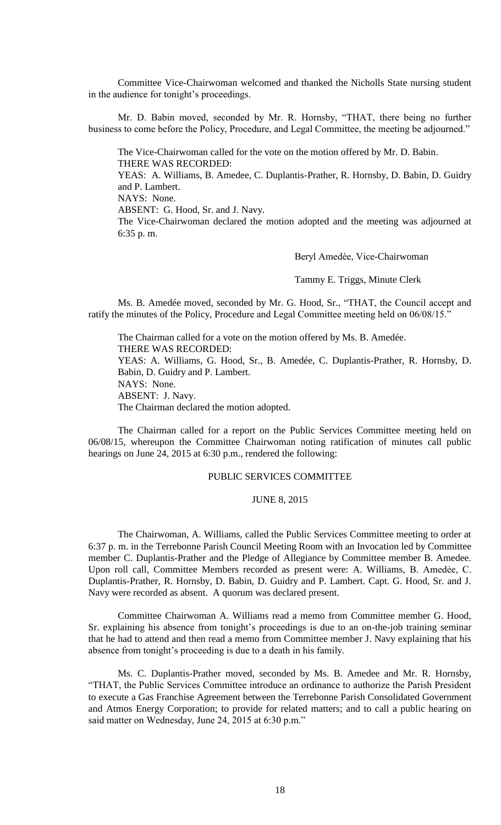Committee Vice-Chairwoman welcomed and thanked the Nicholls State nursing student in the audience for tonight's proceedings.

Mr. D. Babin moved, seconded by Mr. R. Hornsby, "THAT, there being no further business to come before the Policy, Procedure, and Legal Committee, the meeting be adjourned."

The Vice-Chairwoman called for the vote on the motion offered by Mr. D. Babin. THERE WAS RECORDED: YEAS: A. Williams, B. Amedee, C. Duplantis-Prather, R. Hornsby, D. Babin, D. Guidry and P. Lambert. NAYS: None. ABSENT: G. Hood, Sr. and J. Navy. The Vice-Chairwoman declared the motion adopted and the meeting was adjourned at 6:35 p. m.

Beryl Amedѐe, Vice-Chairwoman

Tammy E. Triggs, Minute Clerk

Ms. B. Amedée moved, seconded by Mr. G. Hood, Sr., "THAT, the Council accept and ratify the minutes of the Policy, Procedure and Legal Committee meeting held on 06/08/15."

The Chairman called for a vote on the motion offered by Ms. B. Amedée. THERE WAS RECORDED: YEAS: A. Williams, G. Hood, Sr., B. Amedée, C. Duplantis-Prather, R. Hornsby, D. Babin, D. Guidry and P. Lambert. NAYS: None. ABSENT: J. Navy. The Chairman declared the motion adopted.

The Chairman called for a report on the Public Services Committee meeting held on 06/08/15, whereupon the Committee Chairwoman noting ratification of minutes call public hearings on June 24, 2015 at 6:30 p.m., rendered the following:

## PUBLIC SERVICES COMMITTEE

# JUNE 8, 2015

The Chairwoman, A. Williams, called the Public Services Committee meeting to order at 6:37 p. m. in the Terrebonne Parish Council Meeting Room with an Invocation led by Committee member C. Duplantis-Prather and the Pledge of Allegiance by Committee member B. Amedee. Upon roll call, Committee Members recorded as present were: A. Williams, B. Amedẻe, C. Duplantis-Prather, R. Hornsby, D. Babin, D. Guidry and P. Lambert. Capt. G. Hood, Sr. and J. Navy were recorded as absent. A quorum was declared present.

Committee Chairwoman A. Williams read a memo from Committee member G. Hood, Sr. explaining his absence from tonight's proceedings is due to an on-the-job training seminar that he had to attend and then read a memo from Committee member J. Navy explaining that his absence from tonight's proceeding is due to a death in his family.

Ms. C. Duplantis-Prather moved, seconded by Ms. B. Amedee and Mr. R. Hornsby, "THAT, the Public Services Committee introduce an ordinance to authorize the Parish President to execute a Gas Franchise Agreement between the Terrebonne Parish Consolidated Government and Atmos Energy Corporation; to provide for related matters; and to call a public hearing on said matter on Wednesday, June 24, 2015 at 6:30 p.m."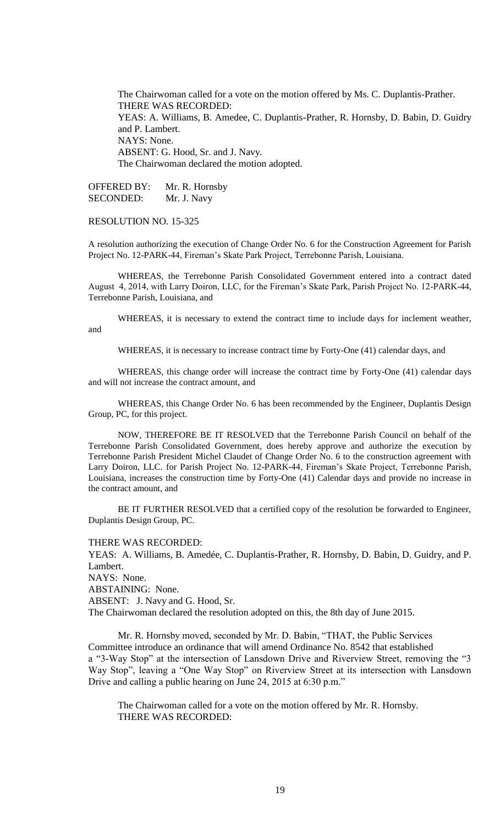The Chairwoman called for a vote on the motion offered by Ms. C. Duplantis-Prather. THERE WAS RECORDED: YEAS: A. Williams, B. Amedee, C. Duplantis-Prather, R. Hornsby, D. Babin, D. Guidry and P. Lambert. NAYS: None. ABSENT: G. Hood, Sr. and J. Navy. The Chairwoman declared the motion adopted.

OFFERED BY: Mr. R. Hornsby SECONDED: Mr. J. Navy

RESOLUTION NO. 15-325

A resolution authorizing the execution of Change Order No. 6 for the Construction Agreement for Parish Project No. 12-PARK-44, Fireman's Skate Park Project, Terrebonne Parish, Louisiana.

WHEREAS, the Terrebonne Parish Consolidated Government entered into a contract dated August 4, 2014, with Larry Doiron, LLC, for the Fireman's Skate Park, Parish Project No. 12-PARK-44, Terrebonne Parish, Louisiana, and

WHEREAS, it is necessary to extend the contract time to include days for inclement weather, and

WHEREAS, it is necessary to increase contract time by Forty-One (41) calendar days, and

WHEREAS, this change order will increase the contract time by Forty-One (41) calendar days and will not increase the contract amount, and

WHEREAS, this Change Order No. 6 has been recommended by the Engineer, Duplantis Design Group, PC, for this project.

NOW, THEREFORE BE IT RESOLVED that the Terrebonne Parish Council on behalf of the Terrebonne Parish Consolidated Government, does hereby approve and authorize the execution by Terrebonne Parish President Michel Claudet of Change Order No. 6 to the construction agreement with Larry Doiron, LLC. for Parish Project No. 12-PARK-44, Fireman's Skate Project, Terrebonne Parish, Louisiana, increases the construction time by Forty-One (41) Calendar days and provide no increase in the contract amount, and

BE IT FURTHER RESOLVED that a certified copy of the resolution be forwarded to Engineer, Duplantis Design Group, PC.

THERE WAS RECORDED:

YEAS: A. Williams, B. Amedée, C. Duplantis-Prather, R. Hornsby, D. Babin, D. Guidry, and P. Lambert. NAYS: None.

ABSTAINING: None.

ABSENT: J. Navy and G. Hood, Sr.

The Chairwoman declared the resolution adopted on this, the 8th day of June 2015.

Mr. R. Hornsby moved, seconded by Mr. D. Babin, "THAT, the Public Services Committee introduce an ordinance that will amend Ordinance No. 8542 that established a "3-Way Stop" at the intersection of Lansdown Drive and Riverview Street, removing the "3 Way Stop", leaving a "One Way Stop" on Riverview Street at its intersection with Lansdown Drive and calling a public hearing on June 24, 2015 at 6:30 p.m."

The Chairwoman called for a vote on the motion offered by Mr. R. Hornsby. THERE WAS RECORDED: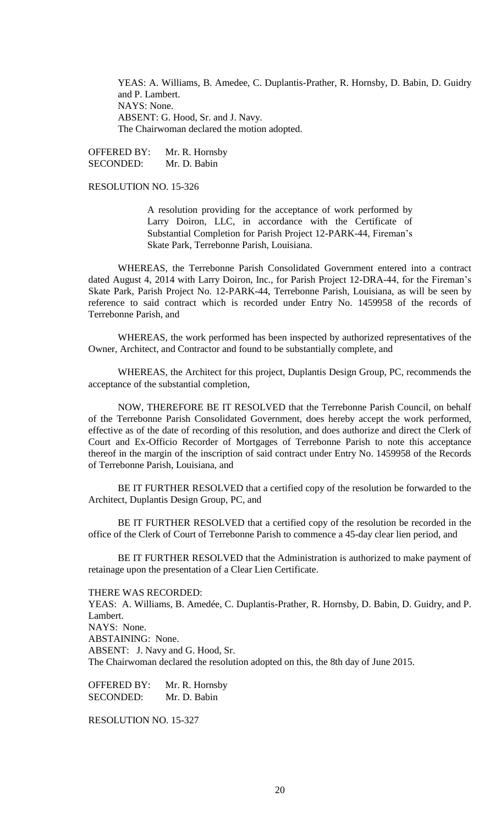YEAS: A. Williams, B. Amedee, C. Duplantis-Prather, R. Hornsby, D. Babin, D. Guidry and P. Lambert. NAYS: None. ABSENT: G. Hood, Sr. and J. Navy. The Chairwoman declared the motion adopted.

OFFERED BY: Mr. R. Hornsby SECONDED: Mr. D. Babin

RESOLUTION NO. 15-326

A resolution providing for the acceptance of work performed by Larry Doiron, LLC, in accordance with the Certificate of Substantial Completion for Parish Project 12-PARK-44, Fireman's Skate Park, Terrebonne Parish, Louisiana.

WHEREAS, the Terrebonne Parish Consolidated Government entered into a contract dated August 4, 2014 with Larry Doiron, Inc., for Parish Project 12-DRA-44, for the Fireman's Skate Park, Parish Project No. 12-PARK-44, Terrebonne Parish, Louisiana, as will be seen by reference to said contract which is recorded under Entry No. 1459958 of the records of Terrebonne Parish, and

WHEREAS, the work performed has been inspected by authorized representatives of the Owner, Architect, and Contractor and found to be substantially complete, and

WHEREAS, the Architect for this project, Duplantis Design Group, PC, recommends the acceptance of the substantial completion,

NOW, THEREFORE BE IT RESOLVED that the Terrebonne Parish Council, on behalf of the Terrebonne Parish Consolidated Government, does hereby accept the work performed, effective as of the date of recording of this resolution, and does authorize and direct the Clerk of Court and Ex-Officio Recorder of Mortgages of Terrebonne Parish to note this acceptance thereof in the margin of the inscription of said contract under Entry No. 1459958 of the Records of Terrebonne Parish, Louisiana, and

BE IT FURTHER RESOLVED that a certified copy of the resolution be forwarded to the Architect, Duplantis Design Group, PC, and

BE IT FURTHER RESOLVED that a certified copy of the resolution be recorded in the office of the Clerk of Court of Terrebonne Parish to commence a 45-day clear lien period, and

BE IT FURTHER RESOLVED that the Administration is authorized to make payment of retainage upon the presentation of a Clear Lien Certificate.

THERE WAS RECORDED:

YEAS: A. Williams, B. Amedée, C. Duplantis-Prather, R. Hornsby, D. Babin, D. Guidry, and P. Lambert. NAYS: None. ABSTAINING: None. ABSENT: J. Navy and G. Hood, Sr. The Chairwoman declared the resolution adopted on this, the 8th day of June 2015.

OFFERED BY: Mr. R. Hornsby SECONDED: Mr. D. Babin

RESOLUTION NO. 15-327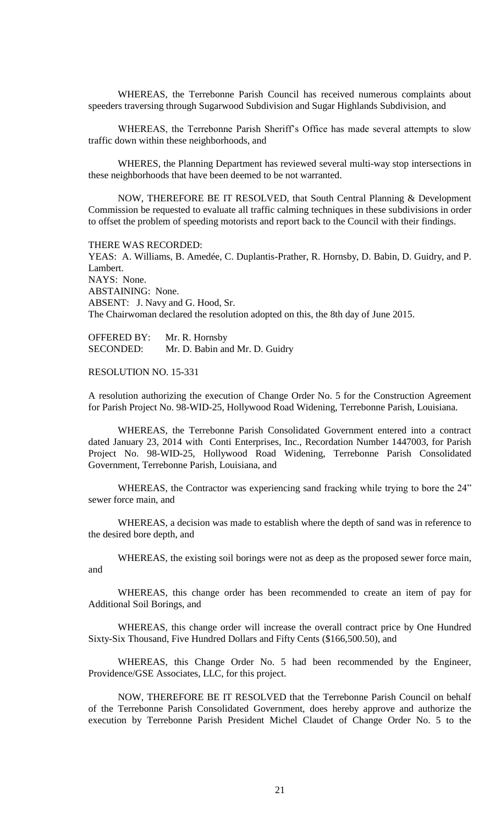WHEREAS, the Terrebonne Parish Council has received numerous complaints about speeders traversing through Sugarwood Subdivision and Sugar Highlands Subdivision, and

 WHEREAS, the Terrebonne Parish Sheriff's Office has made several attempts to slow traffic down within these neighborhoods, and

WHERES, the Planning Department has reviewed several multi-way stop intersections in these neighborhoods that have been deemed to be not warranted.

NOW, THEREFORE BE IT RESOLVED, that South Central Planning & Development Commission be requested to evaluate all traffic calming techniques in these subdivisions in order to offset the problem of speeding motorists and report back to the Council with their findings.

THERE WAS RECORDED:

YEAS: A. Williams, B. Amedée, C. Duplantis-Prather, R. Hornsby, D. Babin, D. Guidry, and P. Lambert. NAYS: None. ABSTAINING: None. ABSENT: J. Navy and G. Hood, Sr. The Chairwoman declared the resolution adopted on this, the 8th day of June 2015.

OFFERED BY: Mr. R. Hornsby SECONDED: Mr. D. Babin and Mr. D. Guidry

## RESOLUTION NO. 15-331

A resolution authorizing the execution of Change Order No. 5 for the Construction Agreement for Parish Project No. 98-WID-25, Hollywood Road Widening, Terrebonne Parish, Louisiana.

WHEREAS, the Terrebonne Parish Consolidated Government entered into a contract dated January 23, 2014 with Conti Enterprises, Inc., Recordation Number 1447003, for Parish Project No. 98-WID-25, Hollywood Road Widening, Terrebonne Parish Consolidated Government, Terrebonne Parish, Louisiana, and

WHEREAS, the Contractor was experiencing sand fracking while trying to bore the 24" sewer force main, and

WHEREAS, a decision was made to establish where the depth of sand was in reference to the desired bore depth, and

WHEREAS, the existing soil borings were not as deep as the proposed sewer force main, and

WHEREAS, this change order has been recommended to create an item of pay for Additional Soil Borings, and

WHEREAS, this change order will increase the overall contract price by One Hundred Sixty-Six Thousand, Five Hundred Dollars and Fifty Cents (\$166,500.50), and

WHEREAS, this Change Order No. 5 had been recommended by the Engineer, Providence/GSE Associates, LLC, for this project.

NOW, THEREFORE BE IT RESOLVED that the Terrebonne Parish Council on behalf of the Terrebonne Parish Consolidated Government, does hereby approve and authorize the execution by Terrebonne Parish President Michel Claudet of Change Order No. 5 to the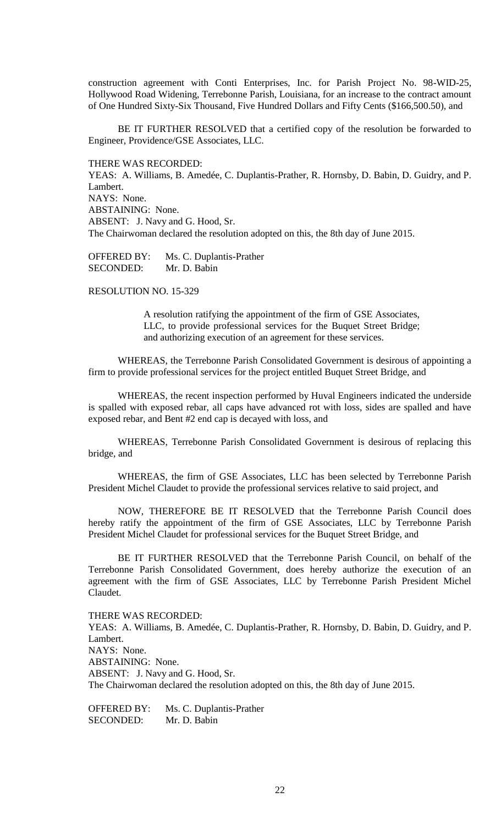construction agreement with Conti Enterprises, Inc. for Parish Project No. 98-WID-25, Hollywood Road Widening, Terrebonne Parish, Louisiana, for an increase to the contract amount of One Hundred Sixty-Six Thousand, Five Hundred Dollars and Fifty Cents (\$166,500.50), and

BE IT FURTHER RESOLVED that a certified copy of the resolution be forwarded to Engineer, Providence/GSE Associates, LLC.

THERE WAS RECORDED:

YEAS: A. Williams, B. Amedée, C. Duplantis-Prather, R. Hornsby, D. Babin, D. Guidry, and P. Lambert. NAYS: None. ABSTAINING: None. ABSENT: J. Navy and G. Hood, Sr. The Chairwoman declared the resolution adopted on this, the 8th day of June 2015.

OFFERED BY: Ms. C. Duplantis-Prather SECONDED: Mr. D. Babin

RESOLUTION NO. 15-329

A resolution ratifying the appointment of the firm of GSE Associates, LLC, to provide professional services for the Buquet Street Bridge; and authorizing execution of an agreement for these services.

WHEREAS, the Terrebonne Parish Consolidated Government is desirous of appointing a firm to provide professional services for the project entitled Buquet Street Bridge, and

WHEREAS, the recent inspection performed by Huval Engineers indicated the underside is spalled with exposed rebar, all caps have advanced rot with loss, sides are spalled and have exposed rebar, and Bent #2 end cap is decayed with loss, and

WHEREAS, Terrebonne Parish Consolidated Government is desirous of replacing this bridge, and

WHEREAS, the firm of GSE Associates, LLC has been selected by Terrebonne Parish President Michel Claudet to provide the professional services relative to said project, and

NOW, THEREFORE BE IT RESOLVED that the Terrebonne Parish Council does hereby ratify the appointment of the firm of GSE Associates, LLC by Terrebonne Parish President Michel Claudet for professional services for the Buquet Street Bridge, and

BE IT FURTHER RESOLVED that the Terrebonne Parish Council, on behalf of the Terrebonne Parish Consolidated Government, does hereby authorize the execution of an agreement with the firm of GSE Associates, LLC by Terrebonne Parish President Michel Claudet.

THERE WAS RECORDED: YEAS: A. Williams, B. Amedée, C. Duplantis-Prather, R. Hornsby, D. Babin, D. Guidry, and P. Lambert. NAYS: None. ABSTAINING: None. ABSENT: J. Navy and G. Hood, Sr. The Chairwoman declared the resolution adopted on this, the 8th day of June 2015.

OFFERED BY: Ms. C. Duplantis-Prather SECONDED: Mr. D. Babin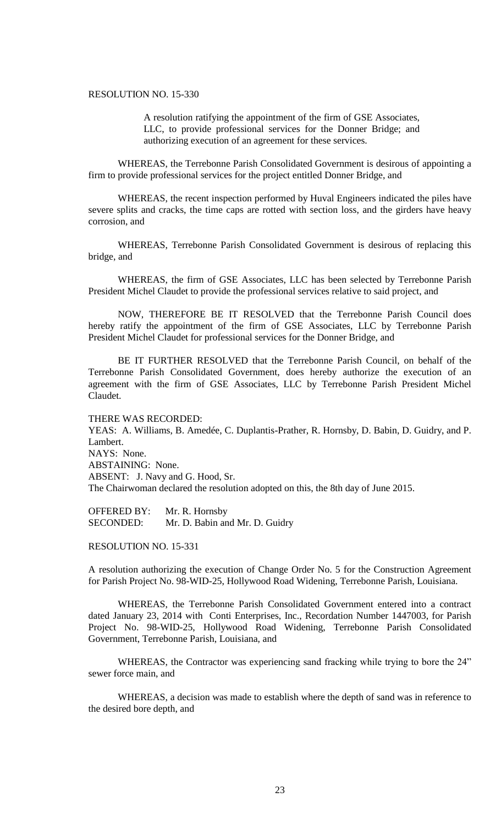# RESOLUTION NO. 15-330

A resolution ratifying the appointment of the firm of GSE Associates, LLC, to provide professional services for the Donner Bridge; and authorizing execution of an agreement for these services.

WHEREAS, the Terrebonne Parish Consolidated Government is desirous of appointing a firm to provide professional services for the project entitled Donner Bridge, and

WHEREAS, the recent inspection performed by Huval Engineers indicated the piles have severe splits and cracks, the time caps are rotted with section loss, and the girders have heavy corrosion, and

WHEREAS, Terrebonne Parish Consolidated Government is desirous of replacing this bridge, and

WHEREAS, the firm of GSE Associates, LLC has been selected by Terrebonne Parish President Michel Claudet to provide the professional services relative to said project, and

NOW, THEREFORE BE IT RESOLVED that the Terrebonne Parish Council does hereby ratify the appointment of the firm of GSE Associates, LLC by Terrebonne Parish President Michel Claudet for professional services for the Donner Bridge, and

BE IT FURTHER RESOLVED that the Terrebonne Parish Council, on behalf of the Terrebonne Parish Consolidated Government, does hereby authorize the execution of an agreement with the firm of GSE Associates, LLC by Terrebonne Parish President Michel Claudet.

THERE WAS RECORDED: YEAS: A. Williams, B. Amedée, C. Duplantis-Prather, R. Hornsby, D. Babin, D. Guidry, and P. Lambert. NAYS: None. ABSTAINING: None. ABSENT: J. Navy and G. Hood, Sr. The Chairwoman declared the resolution adopted on this, the 8th day of June 2015.

OFFERED BY: Mr. R. Hornsby SECONDED: Mr. D. Babin and Mr. D. Guidry

RESOLUTION NO. 15-331

A resolution authorizing the execution of Change Order No. 5 for the Construction Agreement for Parish Project No. 98-WID-25, Hollywood Road Widening, Terrebonne Parish, Louisiana.

WHEREAS, the Terrebonne Parish Consolidated Government entered into a contract dated January 23, 2014 with Conti Enterprises, Inc., Recordation Number 1447003, for Parish Project No. 98-WID-25, Hollywood Road Widening, Terrebonne Parish Consolidated Government, Terrebonne Parish, Louisiana, and

WHEREAS, the Contractor was experiencing sand fracking while trying to bore the 24" sewer force main, and

WHEREAS, a decision was made to establish where the depth of sand was in reference to the desired bore depth, and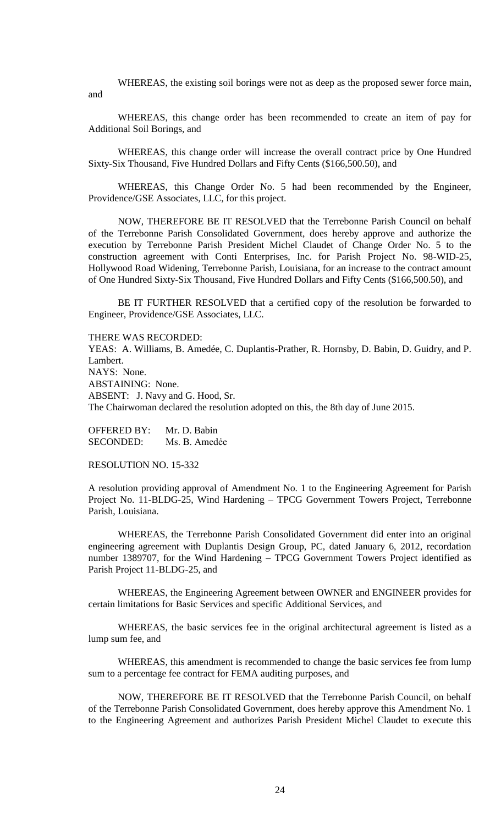WHEREAS, the existing soil borings were not as deep as the proposed sewer force main, and

WHEREAS, this change order has been recommended to create an item of pay for Additional Soil Borings, and

WHEREAS, this change order will increase the overall contract price by One Hundred Sixty-Six Thousand, Five Hundred Dollars and Fifty Cents (\$166,500.50), and

WHEREAS, this Change Order No. 5 had been recommended by the Engineer, Providence/GSE Associates, LLC, for this project.

NOW, THEREFORE BE IT RESOLVED that the Terrebonne Parish Council on behalf of the Terrebonne Parish Consolidated Government, does hereby approve and authorize the execution by Terrebonne Parish President Michel Claudet of Change Order No. 5 to the construction agreement with Conti Enterprises, Inc. for Parish Project No. 98-WID-25, Hollywood Road Widening, Terrebonne Parish, Louisiana, for an increase to the contract amount of One Hundred Sixty-Six Thousand, Five Hundred Dollars and Fifty Cents (\$166,500.50), and

BE IT FURTHER RESOLVED that a certified copy of the resolution be forwarded to Engineer, Providence/GSE Associates, LLC.

THERE WAS RECORDED:

YEAS: A. Williams, B. Amedée, C. Duplantis-Prather, R. Hornsby, D. Babin, D. Guidry, and P. Lambert. NAYS: None. ABSTAINING: None. ABSENT: J. Navy and G. Hood, Sr. The Chairwoman declared the resolution adopted on this, the 8th day of June 2015.

OFFERED BY: Mr. D. Babin SECONDED: Ms. B. Amedée

RESOLUTION NO. 15-332

A resolution providing approval of Amendment No. 1 to the Engineering Agreement for Parish Project No. 11-BLDG-25, Wind Hardening – TPCG Government Towers Project, Terrebonne Parish, Louisiana.

WHEREAS, the Terrebonne Parish Consolidated Government did enter into an original engineering agreement with Duplantis Design Group, PC, dated January 6, 2012, recordation number 1389707, for the Wind Hardening – TPCG Government Towers Project identified as Parish Project 11-BLDG-25, and

WHEREAS, the Engineering Agreement between OWNER and ENGINEER provides for certain limitations for Basic Services and specific Additional Services, and

WHEREAS, the basic services fee in the original architectural agreement is listed as a lump sum fee, and

WHEREAS, this amendment is recommended to change the basic services fee from lump sum to a percentage fee contract for FEMA auditing purposes, and

NOW, THEREFORE BE IT RESOLVED that the Terrebonne Parish Council, on behalf of the Terrebonne Parish Consolidated Government, does hereby approve this Amendment No. 1 to the Engineering Agreement and authorizes Parish President Michel Claudet to execute this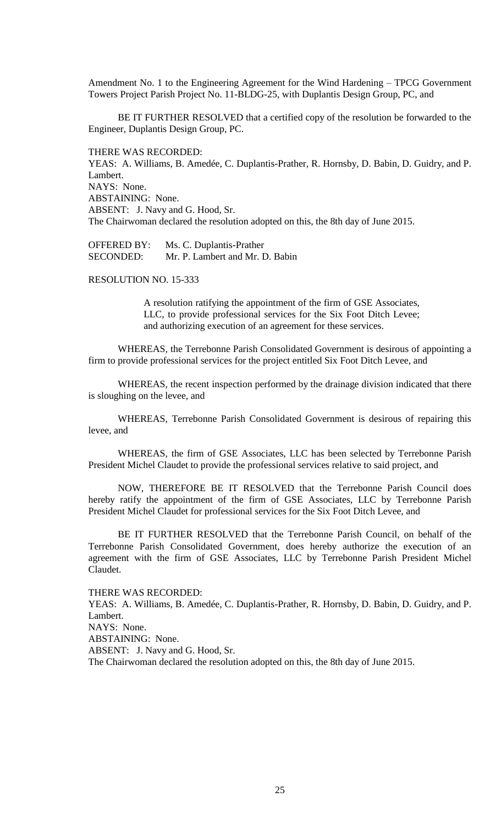Amendment No. 1 to the Engineering Agreement for the Wind Hardening – TPCG Government Towers Project Parish Project No. 11-BLDG-25, with Duplantis Design Group, PC, and

BE IT FURTHER RESOLVED that a certified copy of the resolution be forwarded to the Engineer, Duplantis Design Group, PC.

THERE WAS RECORDED: YEAS: A. Williams, B. Amedée, C. Duplantis-Prather, R. Hornsby, D. Babin, D. Guidry, and P. Lambert. NAYS: None. ABSTAINING: None. ABSENT: J. Navy and G. Hood, Sr. The Chairwoman declared the resolution adopted on this, the 8th day of June 2015.

OFFERED BY: Ms. C. Duplantis-Prather SECONDED: Mr. P. Lambert and Mr. D. Babin

## RESOLUTION NO. 15-333

A resolution ratifying the appointment of the firm of GSE Associates, LLC, to provide professional services for the Six Foot Ditch Levee; and authorizing execution of an agreement for these services.

WHEREAS, the Terrebonne Parish Consolidated Government is desirous of appointing a firm to provide professional services for the project entitled Six Foot Ditch Levee, and

WHEREAS, the recent inspection performed by the drainage division indicated that there is sloughing on the levee, and

WHEREAS, Terrebonne Parish Consolidated Government is desirous of repairing this levee, and

WHEREAS, the firm of GSE Associates, LLC has been selected by Terrebonne Parish President Michel Claudet to provide the professional services relative to said project, and

NOW, THEREFORE BE IT RESOLVED that the Terrebonne Parish Council does hereby ratify the appointment of the firm of GSE Associates, LLC by Terrebonne Parish President Michel Claudet for professional services for the Six Foot Ditch Levee, and

BE IT FURTHER RESOLVED that the Terrebonne Parish Council, on behalf of the Terrebonne Parish Consolidated Government, does hereby authorize the execution of an agreement with the firm of GSE Associates, LLC by Terrebonne Parish President Michel Claudet.

## THERE WAS RECORDED:

YEAS: A. Williams, B. Amedée, C. Duplantis-Prather, R. Hornsby, D. Babin, D. Guidry, and P. Lambert. NAYS: None. ABSTAINING: None. ABSENT: J. Navy and G. Hood, Sr. The Chairwoman declared the resolution adopted on this, the 8th day of June 2015.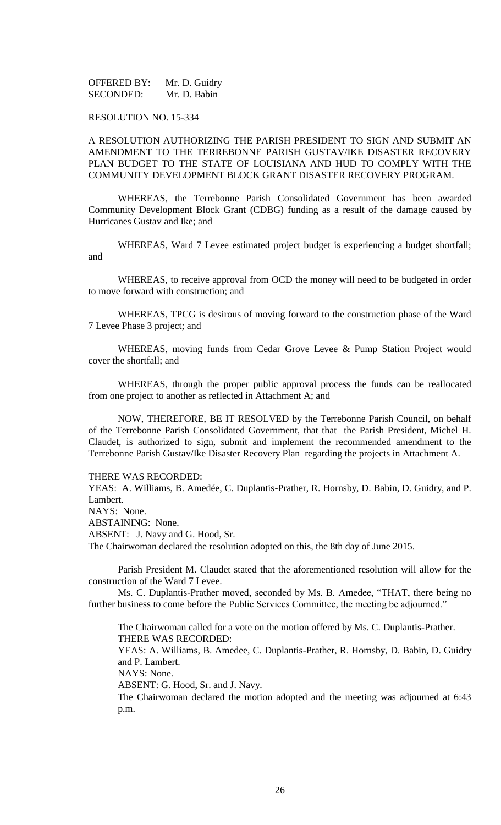OFFERED BY: Mr. D. Guidry SECONDED: Mr. D. Babin

## RESOLUTION NO. 15-334

# A RESOLUTION AUTHORIZING THE PARISH PRESIDENT TO SIGN AND SUBMIT AN AMENDMENT TO THE TERREBONNE PARISH GUSTAV/IKE DISASTER RECOVERY PLAN BUDGET TO THE STATE OF LOUISIANA AND HUD TO COMPLY WITH THE COMMUNITY DEVELOPMENT BLOCK GRANT DISASTER RECOVERY PROGRAM.

WHEREAS, the Terrebonne Parish Consolidated Government has been awarded Community Development Block Grant (CDBG) funding as a result of the damage caused by Hurricanes Gustav and Ike; and

WHEREAS, Ward 7 Levee estimated project budget is experiencing a budget shortfall; and

WHEREAS, to receive approval from OCD the money will need to be budgeted in order to move forward with construction; and

WHEREAS, TPCG is desirous of moving forward to the construction phase of the Ward 7 Levee Phase 3 project; and

WHEREAS, moving funds from Cedar Grove Levee & Pump Station Project would cover the shortfall; and

WHEREAS, through the proper public approval process the funds can be reallocated from one project to another as reflected in Attachment A; and

NOW, THEREFORE, BE IT RESOLVED by the Terrebonne Parish Council, on behalf of the Terrebonne Parish Consolidated Government, that that the Parish President, Michel H. Claudet, is authorized to sign, submit and implement the recommended amendment to the Terrebonne Parish Gustav/Ike Disaster Recovery Plan regarding the projects in Attachment A.

## THERE WAS RECORDED:

YEAS: A. Williams, B. Amedée, C. Duplantis-Prather, R. Hornsby, D. Babin, D. Guidry, and P. Lambert.

NAYS: None.

ABSTAINING: None.

ABSENT: J. Navy and G. Hood, Sr.

The Chairwoman declared the resolution adopted on this, the 8th day of June 2015.

Parish President M. Claudet stated that the aforementioned resolution will allow for the construction of the Ward 7 Levee.

Ms. C. Duplantis-Prather moved, seconded by Ms. B. Amedee, "THAT, there being no further business to come before the Public Services Committee, the meeting be adjourned."

The Chairwoman called for a vote on the motion offered by Ms. C. Duplantis-Prather. THERE WAS RECORDED:

YEAS: A. Williams, B. Amedee, C. Duplantis-Prather, R. Hornsby, D. Babin, D. Guidry and P. Lambert.

NAYS: None.

ABSENT: G. Hood, Sr. and J. Navy.

The Chairwoman declared the motion adopted and the meeting was adjourned at 6:43 p.m.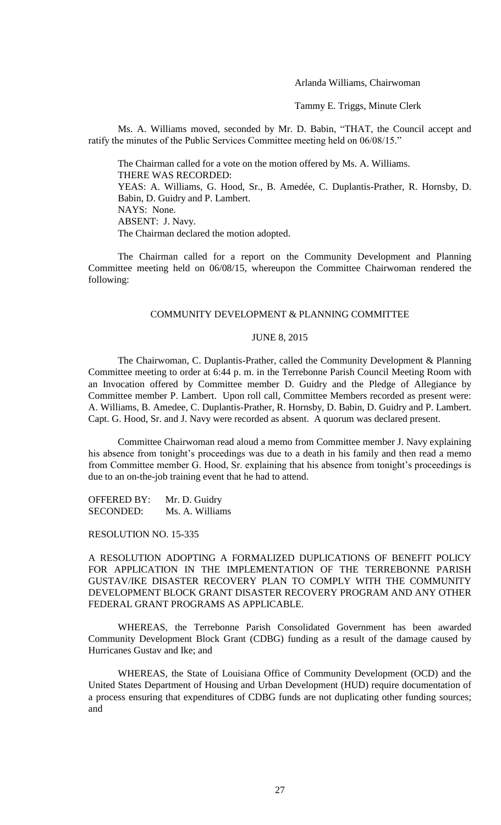Arlanda Williams, Chairwoman

Tammy E. Triggs, Minute Clerk

Ms. A. Williams moved, seconded by Mr. D. Babin, "THAT, the Council accept and ratify the minutes of the Public Services Committee meeting held on 06/08/15."

The Chairman called for a vote on the motion offered by Ms. A. Williams. THERE WAS RECORDED: YEAS: A. Williams, G. Hood, Sr., B. Amedée, C. Duplantis-Prather, R. Hornsby, D. Babin, D. Guidry and P. Lambert. NAYS: None. ABSENT: J. Navy. The Chairman declared the motion adopted.

The Chairman called for a report on the Community Development and Planning Committee meeting held on 06/08/15, whereupon the Committee Chairwoman rendered the following:

## COMMUNITY DEVELOPMENT & PLANNING COMMITTEE

#### JUNE 8, 2015

The Chairwoman, C. Duplantis-Prather, called the Community Development & Planning Committee meeting to order at 6:44 p. m. in the Terrebonne Parish Council Meeting Room with an Invocation offered by Committee member D. Guidry and the Pledge of Allegiance by Committee member P. Lambert. Upon roll call, Committee Members recorded as present were: A. Williams, B. Amedee, C. Duplantis-Prather, R. Hornsby, D. Babin, D. Guidry and P. Lambert. Capt. G. Hood, Sr. and J. Navy were recorded as absent. A quorum was declared present.

Committee Chairwoman read aloud a memo from Committee member J. Navy explaining his absence from tonight's proceedings was due to a death in his family and then read a memo from Committee member G. Hood, Sr. explaining that his absence from tonight's proceedings is due to an on-the-job training event that he had to attend.

OFFERED BY: Mr. D. Guidry SECONDED: Ms. A. Williams

RESOLUTION NO. 15-335

A RESOLUTION ADOPTING A FORMALIZED DUPLICATIONS OF BENEFIT POLICY FOR APPLICATION IN THE IMPLEMENTATION OF THE TERREBONNE PARISH GUSTAV/IKE DISASTER RECOVERY PLAN TO COMPLY WITH THE COMMUNITY DEVELOPMENT BLOCK GRANT DISASTER RECOVERY PROGRAM AND ANY OTHER FEDERAL GRANT PROGRAMS AS APPLICABLE.

WHEREAS, the Terrebonne Parish Consolidated Government has been awarded Community Development Block Grant (CDBG) funding as a result of the damage caused by Hurricanes Gustav and Ike; and

WHEREAS, the State of Louisiana Office of Community Development (OCD) and the United States Department of Housing and Urban Development (HUD) require documentation of a process ensuring that expenditures of CDBG funds are not duplicating other funding sources; and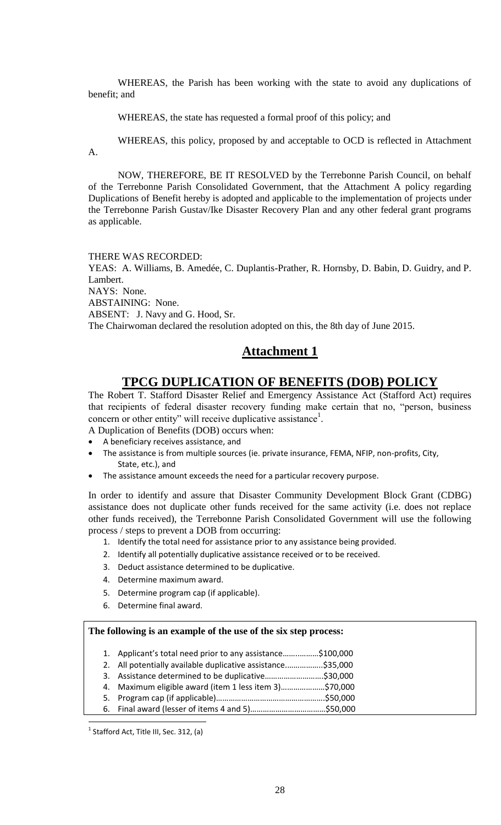WHEREAS, the Parish has been working with the state to avoid any duplications of benefit; and

WHEREAS, the state has requested a formal proof of this policy; and

WHEREAS, this policy, proposed by and acceptable to OCD is reflected in Attachment A.

NOW, THEREFORE, BE IT RESOLVED by the Terrebonne Parish Council, on behalf of the Terrebonne Parish Consolidated Government, that the Attachment A policy regarding Duplications of Benefit hereby is adopted and applicable to the implementation of projects under the Terrebonne Parish Gustav/Ike Disaster Recovery Plan and any other federal grant programs as applicable.

#### THERE WAS RECORDED:

YEAS: A. Williams, B. Amedée, C. Duplantis-Prather, R. Hornsby, D. Babin, D. Guidry, and P. Lambert.

NAYS: None.

ABSTAINING: None.

ABSENT: J. Navy and G. Hood, Sr.

The Chairwoman declared the resolution adopted on this, the 8th day of June 2015.

# **Attachment 1**

# **TPCG DUPLICATION OF BENEFITS (DOB) POLICY**

The Robert T. Stafford Disaster Relief and Emergency Assistance Act (Stafford Act) requires that recipients of federal disaster recovery funding make certain that no, "person, business concern or other entity" will receive duplicative assistance<sup>1</sup>.

- A Duplication of Benefits (DOB) occurs when:
- A beneficiary receives assistance, and
- The assistance is from multiple sources (ie. private insurance, FEMA, NFIP, non-profits, City, State, etc.), and
- The assistance amount exceeds the need for a particular recovery purpose.

In order to identify and assure that Disaster Community Development Block Grant (CDBG) assistance does not duplicate other funds received for the same activity (i.e. does not replace other funds received), the Terrebonne Parish Consolidated Government will use the following process / steps to prevent a DOB from occurring:

- 1. Identify the total need for assistance prior to any assistance being provided.
- 2. Identify all potentially duplicative assistance received or to be received.
- 3. Deduct assistance determined to be duplicative.
- 4. Determine maximum award.
- 5. Determine program cap (if applicable).
- 6. Determine final award.

## **The following is an example of the use of the six step process:**

- 1. Applicant's total need prior to any assistance……..………\$100,000
- 2. All potentially available duplicative assistance.……………..\$35,000
- 3. Assistance determined to be duplicative……………………….\$30,000
- 4. Maximum eligible award (item 1 less item 3)…………………\$70,000 5. Program cap (if applicable)…………………………………………….\$50,000
- 6. Final award (lesser of items 4 and 5)………………………………\$50,000

 $\overline{a}$ 

 $<sup>1</sup>$  Stafford Act, Title III, Sec. 312, (a)</sup>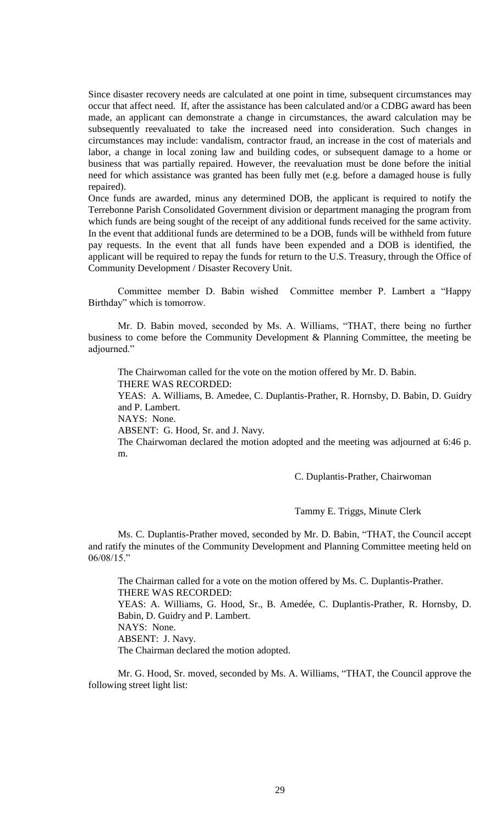Since disaster recovery needs are calculated at one point in time, subsequent circumstances may occur that affect need. If, after the assistance has been calculated and/or a CDBG award has been made, an applicant can demonstrate a change in circumstances, the award calculation may be subsequently reevaluated to take the increased need into consideration. Such changes in circumstances may include: vandalism, contractor fraud, an increase in the cost of materials and labor, a change in local zoning law and building codes, or subsequent damage to a home or business that was partially repaired. However, the reevaluation must be done before the initial need for which assistance was granted has been fully met (e.g. before a damaged house is fully repaired).

Once funds are awarded, minus any determined DOB, the applicant is required to notify the Terrebonne Parish Consolidated Government division or department managing the program from which funds are being sought of the receipt of any additional funds received for the same activity. In the event that additional funds are determined to be a DOB, funds will be withheld from future pay requests. In the event that all funds have been expended and a DOB is identified, the applicant will be required to repay the funds for return to the U.S. Treasury, through the Office of Community Development / Disaster Recovery Unit.

Committee member D. Babin wished Committee member P. Lambert a "Happy Birthday" which is tomorrow.

Mr. D. Babin moved, seconded by Ms. A. Williams, "THAT, there being no further business to come before the Community Development & Planning Committee, the meeting be adjourned."

The Chairwoman called for the vote on the motion offered by Mr. D. Babin. THERE WAS RECORDED: YEAS: A. Williams, B. Amedee, C. Duplantis-Prather, R. Hornsby, D. Babin, D. Guidry

and P. Lambert.

NAYS: None.

ABSENT: G. Hood, Sr. and J. Navy.

The Chairwoman declared the motion adopted and the meeting was adjourned at 6:46 p. m.

C. Duplantis-Prather, Chairwoman

Tammy E. Triggs, Minute Clerk

Ms. C. Duplantis-Prather moved, seconded by Mr. D. Babin, "THAT, the Council accept and ratify the minutes of the Community Development and Planning Committee meeting held on 06/08/15."

The Chairman called for a vote on the motion offered by Ms. C. Duplantis-Prather. THERE WAS RECORDED: YEAS: A. Williams, G. Hood, Sr., B. Amedée, C. Duplantis-Prather, R. Hornsby, D. Babin, D. Guidry and P. Lambert. NAYS: None. ABSENT: J. Navy. The Chairman declared the motion adopted.

Mr. G. Hood, Sr. moved, seconded by Ms. A. Williams, "THAT, the Council approve the following street light list: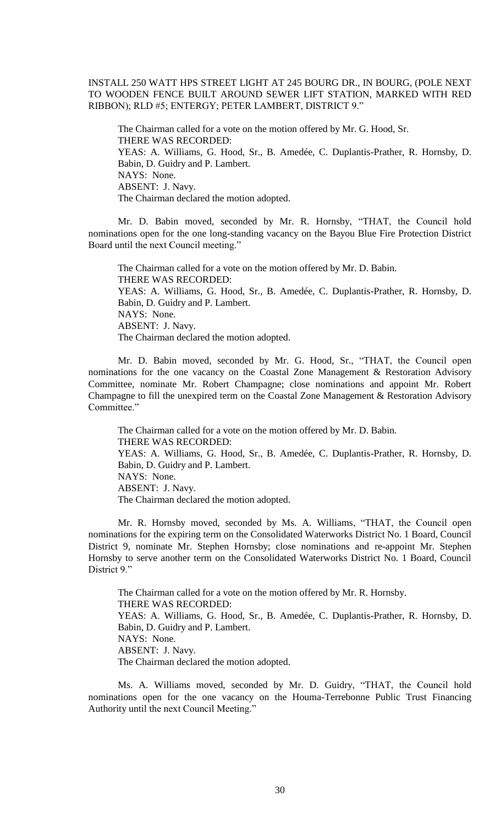INSTALL 250 WATT HPS STREET LIGHT AT 245 BOURG DR., IN BOURG, (POLE NEXT TO WOODEN FENCE BUILT AROUND SEWER LIFT STATION, MARKED WITH RED RIBBON); RLD #5; ENTERGY; PETER LAMBERT, DISTRICT 9."

The Chairman called for a vote on the motion offered by Mr. G. Hood, Sr. THERE WAS RECORDED: YEAS: A. Williams, G. Hood, Sr., B. Amedée, C. Duplantis-Prather, R. Hornsby, D. Babin, D. Guidry and P. Lambert. NAYS: None. ABSENT: J. Navy. The Chairman declared the motion adopted.

Mr. D. Babin moved, seconded by Mr. R. Hornsby, "THAT, the Council hold nominations open for the one long-standing vacancy on the Bayou Blue Fire Protection District Board until the next Council meeting."

The Chairman called for a vote on the motion offered by Mr. D. Babin. THERE WAS RECORDED: YEAS: A. Williams, G. Hood, Sr., B. Amedée, C. Duplantis-Prather, R. Hornsby, D. Babin, D. Guidry and P. Lambert. NAYS: None. ABSENT: J. Navy. The Chairman declared the motion adopted.

Mr. D. Babin moved, seconded by Mr. G. Hood, Sr., "THAT, the Council open nominations for the one vacancy on the Coastal Zone Management & Restoration Advisory Committee, nominate Mr. Robert Champagne; close nominations and appoint Mr. Robert Champagne to fill the unexpired term on the Coastal Zone Management & Restoration Advisory Committee."

The Chairman called for a vote on the motion offered by Mr. D. Babin. THERE WAS RECORDED: YEAS: A. Williams, G. Hood, Sr., B. Amedée, C. Duplantis-Prather, R. Hornsby, D. Babin, D. Guidry and P. Lambert. NAYS: None. ABSENT: J. Navy. The Chairman declared the motion adopted.

Mr. R. Hornsby moved, seconded by Ms. A. Williams, "THAT, the Council open nominations for the expiring term on the Consolidated Waterworks District No. 1 Board, Council District 9, nominate Mr. Stephen Hornsby; close nominations and re-appoint Mr. Stephen Hornsby to serve another term on the Consolidated Waterworks District No. 1 Board, Council District 9."

The Chairman called for a vote on the motion offered by Mr. R. Hornsby. THERE WAS RECORDED: YEAS: A. Williams, G. Hood, Sr., B. Amedée, C. Duplantis-Prather, R. Hornsby, D. Babin, D. Guidry and P. Lambert. NAYS: None. ABSENT: J. Navy. The Chairman declared the motion adopted.

Ms. A. Williams moved, seconded by Mr. D. Guidry, "THAT, the Council hold nominations open for the one vacancy on the Houma-Terrebonne Public Trust Financing Authority until the next Council Meeting."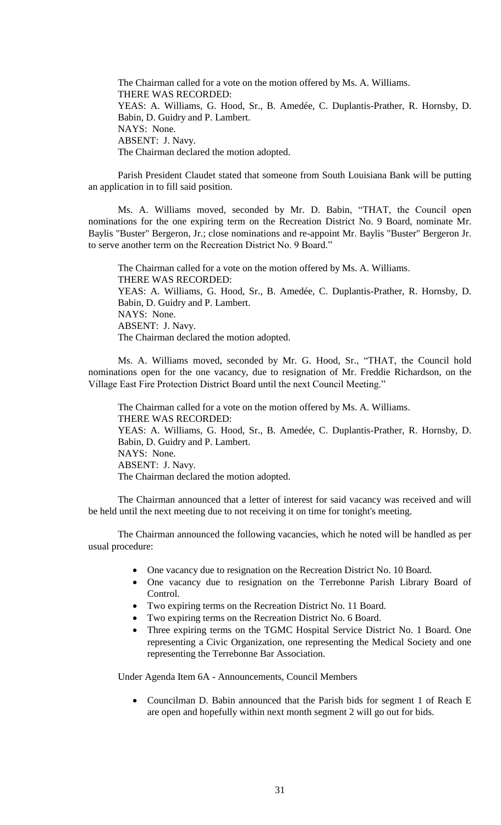The Chairman called for a vote on the motion offered by Ms. A. Williams. THERE WAS RECORDED: YEAS: A. Williams, G. Hood, Sr., B. Amedée, C. Duplantis-Prather, R. Hornsby, D. Babin, D. Guidry and P. Lambert. NAYS: None. ABSENT: J. Navy. The Chairman declared the motion adopted.

Parish President Claudet stated that someone from South Louisiana Bank will be putting an application in to fill said position.

Ms. A. Williams moved, seconded by Mr. D. Babin, "THAT, the Council open nominations for the one expiring term on the Recreation District No. 9 Board, nominate Mr. Baylis "Buster" Bergeron, Jr.; close nominations and re-appoint Mr. Baylis "Buster" Bergeron Jr. to serve another term on the Recreation District No. 9 Board."

The Chairman called for a vote on the motion offered by Ms. A. Williams. THERE WAS RECORDED: YEAS: A. Williams, G. Hood, Sr., B. Amedée, C. Duplantis-Prather, R. Hornsby, D. Babin, D. Guidry and P. Lambert. NAYS: None. ABSENT: J. Navy. The Chairman declared the motion adopted.

Ms. A. Williams moved, seconded by Mr. G. Hood, Sr., "THAT, the Council hold nominations open for the one vacancy, due to resignation of Mr. Freddie Richardson, on the Village East Fire Protection District Board until the next Council Meeting."

The Chairman called for a vote on the motion offered by Ms. A. Williams. THERE WAS RECORDED: YEAS: A. Williams, G. Hood, Sr., B. Amedée, C. Duplantis-Prather, R. Hornsby, D. Babin, D. Guidry and P. Lambert. NAYS: None. ABSENT: J. Navy. The Chairman declared the motion adopted.

The Chairman announced that a letter of interest for said vacancy was received and will be held until the next meeting due to not receiving it on time for tonight's meeting.

The Chairman announced the following vacancies, which he noted will be handled as per usual procedure:

- One vacancy due to resignation on the Recreation District No. 10 Board.
- One vacancy due to resignation on the Terrebonne Parish Library Board of Control.
- Two expiring terms on the Recreation District No. 11 Board.
- Two expiring terms on the Recreation District No. 6 Board.
- Three expiring terms on the TGMC Hospital Service District No. 1 Board. One representing a Civic Organization, one representing the Medical Society and one representing the Terrebonne Bar Association.

Under Agenda Item 6A - Announcements, Council Members

 Councilman D. Babin announced that the Parish bids for segment 1 of Reach E are open and hopefully within next month segment 2 will go out for bids.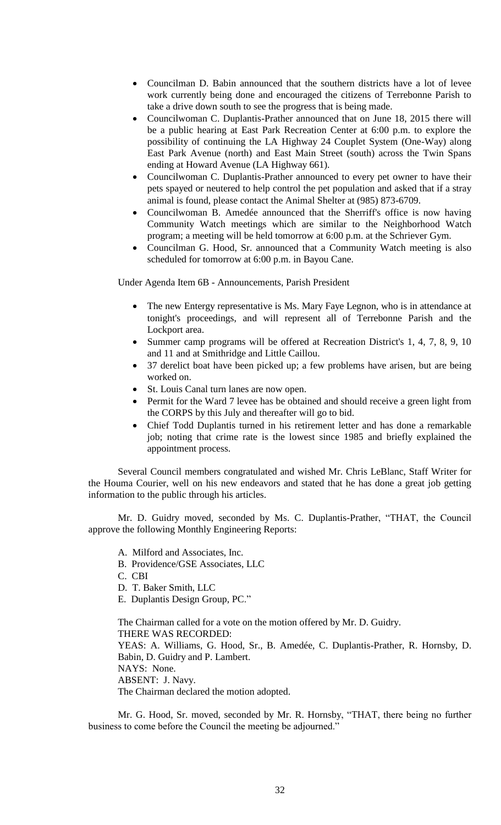- Councilman D. Babin announced that the southern districts have a lot of levee work currently being done and encouraged the citizens of Terrebonne Parish to take a drive down south to see the progress that is being made.
- Councilwoman C. Duplantis-Prather announced that on June 18, 2015 there will be a public hearing at East Park Recreation Center at 6:00 p.m. to explore the possibility of continuing the LA Highway 24 Couplet System (One-Way) along East Park Avenue (north) and East Main Street (south) across the Twin Spans ending at Howard Avenue (LA Highway 661).
- Councilwoman C. Duplantis-Prather announced to every pet owner to have their pets spayed or neutered to help control the pet population and asked that if a stray animal is found, please contact the Animal Shelter at (985) 873-6709.
- Councilwoman B. Amedée announced that the Sherriff's office is now having Community Watch meetings which are similar to the Neighborhood Watch program; a meeting will be held tomorrow at 6:00 p.m. at the Schriever Gym.
- Councilman G. Hood, Sr. announced that a Community Watch meeting is also scheduled for tomorrow at 6:00 p.m. in Bayou Cane.

Under Agenda Item 6B - Announcements, Parish President

- The new Entergy representative is Ms. Mary Faye Legnon, who is in attendance at tonight's proceedings, and will represent all of Terrebonne Parish and the Lockport area.
- Summer camp programs will be offered at Recreation District's 1, 4, 7, 8, 9, 10 and 11 and at Smithridge and Little Caillou.
- 37 derelict boat have been picked up; a few problems have arisen, but are being worked on.
- St. Louis Canal turn lanes are now open.
- Permit for the Ward 7 levee has be obtained and should receive a green light from the CORPS by this July and thereafter will go to bid.
- Chief Todd Duplantis turned in his retirement letter and has done a remarkable job; noting that crime rate is the lowest since 1985 and briefly explained the appointment process.

Several Council members congratulated and wished Mr. Chris LeBlanc, Staff Writer for the Houma Courier, well on his new endeavors and stated that he has done a great job getting information to the public through his articles.

Mr. D. Guidry moved, seconded by Ms. C. Duplantis-Prather, "THAT, the Council approve the following Monthly Engineering Reports:

- A. Milford and Associates, Inc.
- B. Providence/GSE Associates, LLC
- C. CBI
- D. T. Baker Smith, LLC
- E. Duplantis Design Group, PC."

The Chairman called for a vote on the motion offered by Mr. D. Guidry. THERE WAS RECORDED: YEAS: A. Williams, G. Hood, Sr., B. Amedée, C. Duplantis-Prather, R. Hornsby, D. Babin, D. Guidry and P. Lambert. NAYS: None. ABSENT: J. Navy. The Chairman declared the motion adopted.

Mr. G. Hood, Sr. moved, seconded by Mr. R. Hornsby, "THAT, there being no further business to come before the Council the meeting be adjourned."